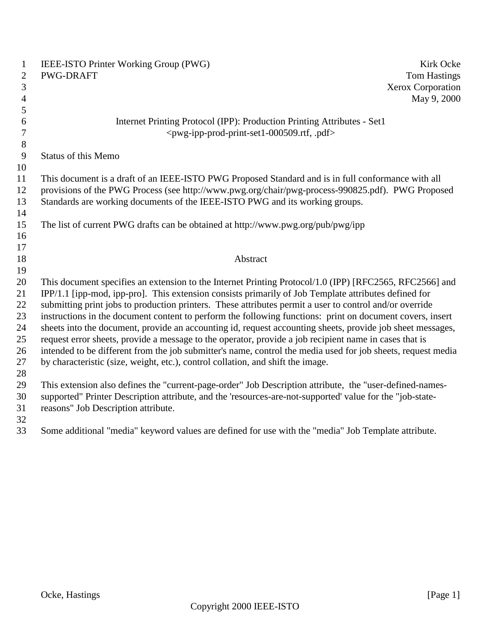| $\mathbf{1}$<br>$\overline{2}$<br>3<br>4 | IEEE-ISTO Printer Working Group (PWG)<br>Kirk Ocke<br><b>PWG-DRAFT</b><br><b>Tom Hastings</b><br>Xerox Corporation<br>May 9, 2000 |
|------------------------------------------|-----------------------------------------------------------------------------------------------------------------------------------|
| 5<br>6                                   | Internet Printing Protocol (IPP): Production Printing Attributes - Set1                                                           |
| $\overline{7}$                           | <pwg-ipp-prod-print-set1-000509.rtf, .pdf=""></pwg-ipp-prod-print-set1-000509.rtf,>                                               |
| $8\,$                                    |                                                                                                                                   |
| 9                                        | <b>Status of this Memo</b>                                                                                                        |
| 10                                       |                                                                                                                                   |
| 11                                       | This document is a draft of an IEEE-ISTO PWG Proposed Standard and is in full conformance with all                                |
| 12                                       | provisions of the PWG Process (see http://www.pwg.org/chair/pwg-process-990825.pdf). PWG Proposed                                 |
| 13                                       | Standards are working documents of the IEEE-ISTO PWG and its working groups.                                                      |
| 14                                       |                                                                                                                                   |
| 15                                       | The list of current PWG drafts can be obtained at http://www.pwg.org/pub/pwg/ipp                                                  |
| 16<br>17                                 |                                                                                                                                   |
| 18                                       | Abstract                                                                                                                          |
| 19                                       |                                                                                                                                   |
| 20                                       | This document specifies an extension to the Internet Printing Protocol/1.0 (IPP) [RFC2565, RFC2566] and                           |
| 21                                       | IPP/1.1 [ipp-mod, ipp-pro]. This extension consists primarily of Job Template attributes defined for                              |
| 22                                       | submitting print jobs to production printers. These attributes permit a user to control and/or override                           |
| 23                                       | instructions in the document content to perform the following functions: print on document covers, insert                         |
| 24                                       | sheets into the document, provide an accounting id, request accounting sheets, provide job sheet messages,                        |
| 25                                       | request error sheets, provide a message to the operator, provide a job recipient name in cases that is                            |
| 26                                       | intended to be different from the job submitter's name, control the media used for job sheets, request media                      |
| 27                                       | by characteristic (size, weight, etc.), control collation, and shift the image.                                                   |
| 28                                       |                                                                                                                                   |
| 29                                       | This extension also defines the "current-page-order" Job Description attribute, the "user-defined-names-                          |
| 30                                       | supported" Printer Description attribute, and the 'resources-are-not-supported' value for the "job-state-                         |
| 31                                       | reasons" Job Description attribute.                                                                                               |
| 32                                       |                                                                                                                                   |

Some additional "media" keyword values are defined for use with the "media" Job Template attribute.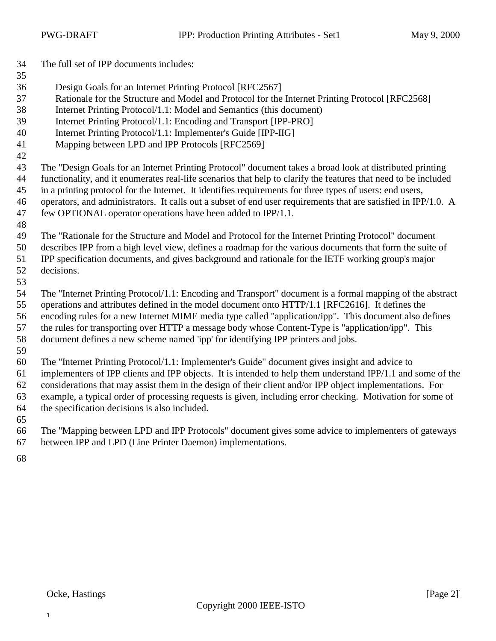| 34       | The full set of IPP documents includes:                                                                         |
|----------|-----------------------------------------------------------------------------------------------------------------|
| 35<br>36 | Design Goals for an Internet Printing Protocol [RFC2567]                                                        |
| 37       | Rationale for the Structure and Model and Protocol for the Internet Printing Protocol [RFC2568]                 |
| 38       | Internet Printing Protocol/1.1: Model and Semantics (this document)                                             |
| 39       | Internet Printing Protocol/1.1: Encoding and Transport [IPP-PRO]                                                |
| 40       | Internet Printing Protocol/1.1: Implementer's Guide [IPP-IIG]                                                   |
| 41       | Mapping between LPD and IPP Protocols [RFC2569]                                                                 |
| 42       |                                                                                                                 |
| 43       | The "Design Goals for an Internet Printing Protocol" document takes a broad look at distributed printing        |
| 44       | functionality, and it enumerates real-life scenarios that help to clarify the features that need to be included |
| 45       | in a printing protocol for the Internet. It identifies requirements for three types of users: end users,        |
| 46       | operators, and administrators. It calls out a subset of end user requirements that are satisfied in IPP/1.0. A  |
| 47       | few OPTIONAL operator operations have been added to IPP/1.1.                                                    |
| 48       |                                                                                                                 |
| 49       | The "Rationale for the Structure and Model and Protocol for the Internet Printing Protocol" document            |
| 50       | describes IPP from a high level view, defines a roadmap for the various documents that form the suite of        |
| 51       | IPP specification documents, and gives background and rationale for the IETF working group's major              |
| 52       | decisions.                                                                                                      |
| 53<br>54 | The "Internet Printing Protocol/1.1: Encoding and Transport" document is a formal mapping of the abstract       |
| 55       | operations and attributes defined in the model document onto HTTP/1.1 [RFC2616]. It defines the                 |
| 56       | encoding rules for a new Internet MIME media type called "application/ipp". This document also defines          |
| 57       | the rules for transporting over HTTP a message body whose Content-Type is "application/ipp". This               |
| 58       | document defines a new scheme named 'ipp' for identifying IPP printers and jobs.                                |
| 59       |                                                                                                                 |
| 60       | The "Internet Printing Protocol/1.1: Implementer's Guide" document gives insight and advice to                  |
| 61       | implementers of IPP clients and IPP objects. It is intended to help them understand IPP/1.1 and some of the     |
| 62       | considerations that may assist them in the design of their client and/or IPP object implementations. For        |
| 63       | example, a typical order of processing requests is given, including error checking. Motivation for some of      |

 the specification decisions is also included. 

 The "Mapping between LPD and IPP Protocols" document gives some advice to implementers of gateways between IPP and LPD (Line Printer Daemon) implementations.

 $\mathbf 1$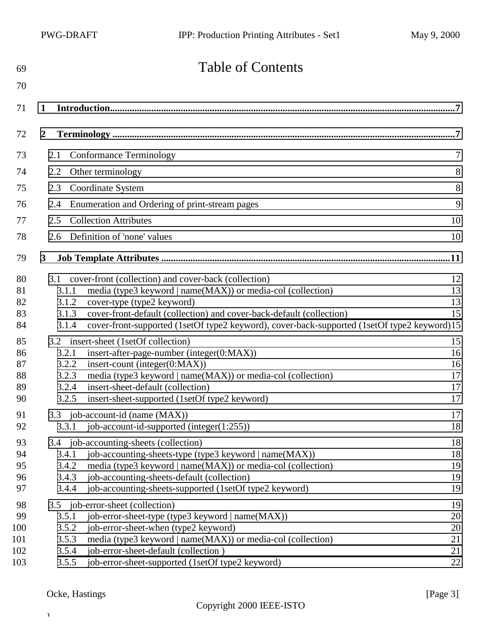| 69         | <b>Table of Contents</b>                                                                                              |                |
|------------|-----------------------------------------------------------------------------------------------------------------------|----------------|
| 70         |                                                                                                                       |                |
| 71         | 1                                                                                                                     |                |
| 72         | $\overline{2}$                                                                                                        |                |
| 73         | <b>Conformance Terminology</b><br>2.1                                                                                 | $\overline{7}$ |
| 74         | Other terminology<br>2.2                                                                                              | 8              |
| 75         | Coordinate System<br>2.3                                                                                              | 8              |
| 76         | Enumeration and Ordering of print-stream pages<br>2.4                                                                 | 9              |
| 77         | <b>Collection Attributes</b><br>2.5                                                                                   | 10             |
| 78         | Definition of 'none' values<br>2.6                                                                                    | 10             |
| 79         | $\mathbf{3}$                                                                                                          | 11             |
| 80         | cover-front (collection) and cover-back (collection)<br>3.1                                                           | 12             |
| 81         | media (type3 keyword   name(MAX)) or media-col (collection)<br>3.1.1                                                  | 13             |
| 82         | cover-type (type2 keyword)<br>3.1.2                                                                                   | 13             |
| 83         | cover-front-default (collection) and cover-back-default (collection)<br>3.1.3                                         | 15             |
| 84         | cover-front-supported (1setOf type2 keyword), cover-back-supported (1setOf type2 keyword)15<br>3.1.4                  |                |
| 85         | 3.2 insert-sheet (1setOf collection)                                                                                  | 15             |
| 86         | insert-after-page-number (integer(0:MAX))<br>3.2.1                                                                    | 16             |
| 87         | insert-count (integer $(0:MAX)$ )<br>3.2.2                                                                            | 16             |
| 88         | media (type3 keyword   name(MAX)) or media-col (collection)<br>3.2.3                                                  | 17             |
| 89<br>90   | 3.2.4<br>insert-sheet-default (collection)                                                                            | 17<br>17       |
|            | 3.2.5<br>insert-sheet-supported (1setOf type2 keyword)                                                                |                |
| 91         | job-account-id (name (MAX))<br>3.3                                                                                    | 17             |
| 92         | job-account-id-supported (integer(1:255))<br>3.3.1                                                                    | 18             |
| 93         | 3.4 job-accounting-sheets (collection)                                                                                | 18             |
| 94         | job-accounting-sheets-type (type3 keyword   name(MAX))<br>3.4.1                                                       | 18             |
| 95         | media (type3 keyword   name(MAX)) or media-col (collection)<br>3.4.2                                                  | 19             |
| 96         | job-accounting-sheets-default (collection)<br>3.4.3                                                                   | 19             |
| 97         | job-accounting-sheets-supported (1setOf type2 keyword)<br>3.4.4                                                       | 19             |
| 98         | 3.5 job-error-sheet (collection)                                                                                      | 19             |
| 99         | job-error-sheet-type (type3 keyword   name(MAX))<br>3.5.1                                                             | 20             |
| 100<br>101 | 3.5.2<br>job-error-sheet-when (type2 keyword)<br>media (type3 keyword   name(MAX)) or media-col (collection)<br>3.5.3 | 20<br>21       |
| 102        | job-error-sheet-default (collection)<br>3.5.4                                                                         | 21             |
| 103        | job-error-sheet-supported (1setOf type2 keyword)<br>3.5.5                                                             | 22             |
|            |                                                                                                                       |                |

## Ocke, Hastings [Page 3]

 $\mathbf T$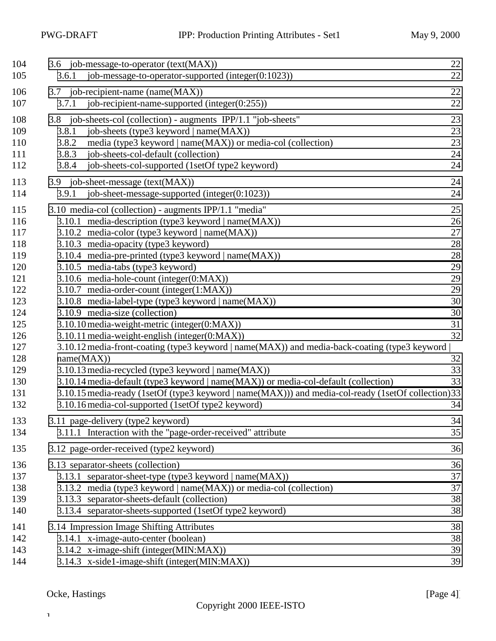| 104<br>105                                                                                                                 | 3.6 job-message-to-operator (text(MAX))<br>job-message-to-operator-supported (integer(0:1023))<br>3.6.1                                                                                                                                                                                                                                                                                                                                                                                                                                                                                                                                                                                                                                                                                                                                                                                                                                                                                                             | 22<br>22                                                                                     |
|----------------------------------------------------------------------------------------------------------------------------|---------------------------------------------------------------------------------------------------------------------------------------------------------------------------------------------------------------------------------------------------------------------------------------------------------------------------------------------------------------------------------------------------------------------------------------------------------------------------------------------------------------------------------------------------------------------------------------------------------------------------------------------------------------------------------------------------------------------------------------------------------------------------------------------------------------------------------------------------------------------------------------------------------------------------------------------------------------------------------------------------------------------|----------------------------------------------------------------------------------------------|
| 106<br>107                                                                                                                 | 3.7 job-recipient-name (name(MAX))<br>3.7.1<br>job-recipient-name-supported (integer(0:255))                                                                                                                                                                                                                                                                                                                                                                                                                                                                                                                                                                                                                                                                                                                                                                                                                                                                                                                        | 22<br>22                                                                                     |
| 108<br>109<br>110<br>111<br>112                                                                                            | 3.8 job-sheets-col (collection) - augments IPP/1.1 "job-sheets"<br>job-sheets (type3 keyword   name(MAX))<br>3.8.1<br>3.8.2<br>media (type3 keyword   name(MAX)) or media-col (collection)<br>job-sheets-col-default (collection)<br>3.8.3<br>3.8.4<br>job-sheets-col-supported (1setOf type2 keyword)                                                                                                                                                                                                                                                                                                                                                                                                                                                                                                                                                                                                                                                                                                              | 23<br>23<br>23<br>24<br>24                                                                   |
| 113<br>114                                                                                                                 | 3.9 job-sheet-message (text(MAX))<br>job-sheet-message-supported (integer(0:1023))<br>3.9.1                                                                                                                                                                                                                                                                                                                                                                                                                                                                                                                                                                                                                                                                                                                                                                                                                                                                                                                         | 24<br>24                                                                                     |
| 115<br>116<br>117<br>118<br>119<br>120<br>121<br>122<br>123<br>124<br>125<br>126<br>127<br>128<br>129<br>130<br>131<br>132 | 3.10 media-col (collection) - augments IPP/1.1 "media"<br>3.10.1 media-description (type3 keyword   name(MAX))<br>3.10.2 media-color (type3 keyword   name(MAX))<br>3.10.3 media-opacity (type3 keyword)<br>3.10.4 media-pre-printed (type3 keyword   name(MAX))<br>3.10.5 media-tabs (type3 keyword)<br>3.10.6 media-hole-count (integer(0:MAX))<br>3.10.7 media-order-count (integer(1:MAX))<br>3.10.8 media-label-type (type3 keyword   name(MAX))<br>3.10.9 media-size (collection)<br>3.10.10 media-weight-metric (integer(0:MAX))<br>3.10.11 media-weight-english (integer(0:MAX))<br>3.10.12 media-front-coating (type3 keyword   name(MAX)) and media-back-coating (type3 keyword  <br>name(MAX))<br>3.10.13 media-recycled (type3 keyword   name(MAX))<br>3.10.14 media-default (type3 keyword   name(MAX)) or media-col-default (collection)<br>3.10.15 media-ready (1setOf (type3 keyword   name(MAX))) and media-col-ready (1setOf collection) 33<br>3.10.16 media-col-supported (1setOf type2 keyword) | 25<br>26<br>27<br>28<br>28<br>29<br>29<br>29<br>30<br>30<br>31<br>32<br>32<br>33<br>33<br>34 |
| 133<br>134                                                                                                                 | 3.11 page-delivery (type2 keyword)<br>3.11.1 Interaction with the "page-order-received" attribute                                                                                                                                                                                                                                                                                                                                                                                                                                                                                                                                                                                                                                                                                                                                                                                                                                                                                                                   | 34<br>35                                                                                     |
| 135                                                                                                                        | 3.12 page-order-received (type2 keyword)                                                                                                                                                                                                                                                                                                                                                                                                                                                                                                                                                                                                                                                                                                                                                                                                                                                                                                                                                                            | 36                                                                                           |
| 136<br>137<br>138<br>139<br>140                                                                                            | 3.13 separator-sheets (collection)<br>3.13.1 separator-sheet-type (type3 keyword   name(MAX))<br>3.13.2 media (type3 keyword   name(MAX)) or media-col (collection)<br>3.13.3 separator-sheets-default (collection)<br>3.13.4 separator-sheets-supported (1setOf type2 keyword)                                                                                                                                                                                                                                                                                                                                                                                                                                                                                                                                                                                                                                                                                                                                     | 36<br>37<br>37<br>38<br>38                                                                   |
| 141<br>142<br>143<br>144                                                                                                   | 3.14 Impression Image Shifting Attributes<br>3.14.1 x-image-auto-center (boolean)<br>3.14.2 x-image-shift (integer(MIN:MAX))<br>3.14.3 x-side1-image-shift (integer(MIN:MAX))                                                                                                                                                                                                                                                                                                                                                                                                                                                                                                                                                                                                                                                                                                                                                                                                                                       | 38<br>38<br>39<br>39                                                                         |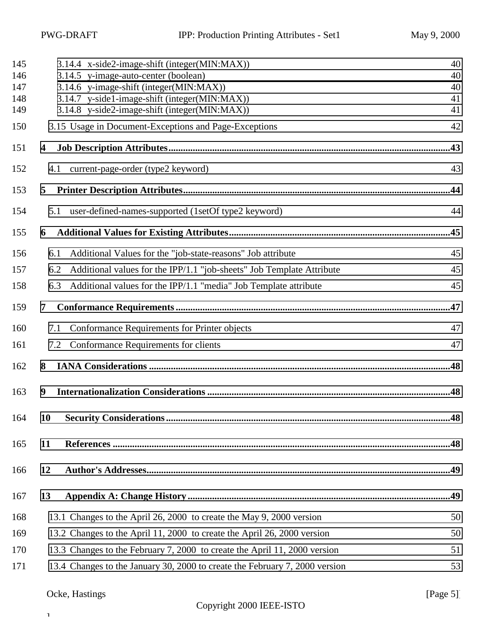| 145<br>146 | 3.14.4 x-side2-image-shift (integer(MIN:MAX))<br>3.14.5 y-image-auto-center (boolean) | 40<br>40 |
|------------|---------------------------------------------------------------------------------------|----------|
| 147        | 3.14.6 y-image-shift (integer(MIN:MAX))                                               | 40       |
| 148        | 3.14.7 y-side1-image-shift (integer(MIN:MAX))                                         | 41       |
| 149        | 3.14.8 y-side2-image-shift (integer(MIN:MAX))                                         | 41       |
|            |                                                                                       |          |
| 150        | 3.15 Usage in Document-Exceptions and Page-Exceptions                                 | 42       |
| 151        | 4                                                                                     |          |
| 152        | current-page-order (type2 keyword)<br>4.1                                             | 43       |
| 153        | 5                                                                                     | .44      |
| 154        | 5.1 user-defined-names-supported (1setOf type2 keyword)                               | 44       |
| 155        | 6                                                                                     | .45      |
| 156        | Additional Values for the "job-state-reasons" Job attribute<br>6.1                    | 45       |
| 157        | Additional values for the IPP/1.1 "job-sheets" Job Template Attribute<br>6.2          | 45       |
| 158        | Additional values for the IPP/1.1 "media" Job Template attribute<br>6.3               | 45       |
| 159        | 7                                                                                     |          |
| 160        | Conformance Requirements for Printer objects<br>7.1                                   | 47       |
| 161        | Conformance Requirements for clients<br>7.2                                           | 47       |
| 162        | 8                                                                                     |          |
| 163        | 9                                                                                     |          |
| 164        | 10 Security Considerations<br>                                                        | .48      |
| 165        | 11                                                                                    |          |
| 166        | 12                                                                                    |          |
| 167        | 13                                                                                    |          |
| 168        | 13.1 Changes to the April 26, 2000 to create the May 9, 2000 version                  | 50       |
| 169        | 13.2 Changes to the April 11, 2000 to create the April 26, 2000 version               | 50       |
| 170        | 13.3 Changes to the February 7, 2000 to create the April 11, 2000 version             | 51       |
| 171        | 13.4 Changes to the January 30, 2000 to create the February 7, 2000 version           | 53       |
|            |                                                                                       |          |

## Ocke, Hastings [Page 5]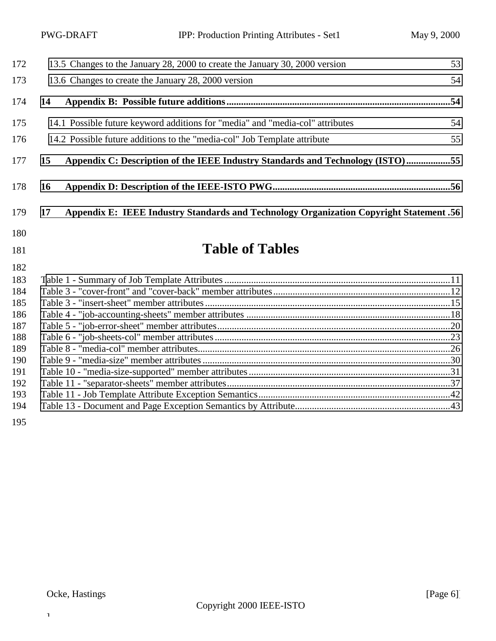| 172               | 13.5 Changes to the January 28, 2000 to create the January 30, 2000 version                   | 53 |
|-------------------|-----------------------------------------------------------------------------------------------|----|
| 173               | 13.6 Changes to create the January 28, 2000 version                                           | 54 |
| 174               | 14                                                                                            |    |
| 175               | 14.1 Possible future keyword additions for "media" and "media-col" attributes                 | 54 |
| 176               | 14.2 Possible future additions to the "media-col" Job Template attribute                      | 55 |
| 177               | Appendix C: Description of the IEEE Industry Standards and Technology (ISTO)55<br>15          |    |
| 178               | 16                                                                                            |    |
| 179               | Appendix E: IEEE Industry Standards and Technology Organization Copyright Statement .56<br>17 |    |
| 180               |                                                                                               |    |
| 181               | <b>Table of Tables</b>                                                                        |    |
| 182<br>183<br>184 |                                                                                               |    |

| 184. |  |
|------|--|
| 185  |  |
| 186  |  |
| 187  |  |
| 188  |  |
| 189  |  |
| 190  |  |
| 191  |  |
| 192  |  |
| 193  |  |
| 194  |  |
|      |  |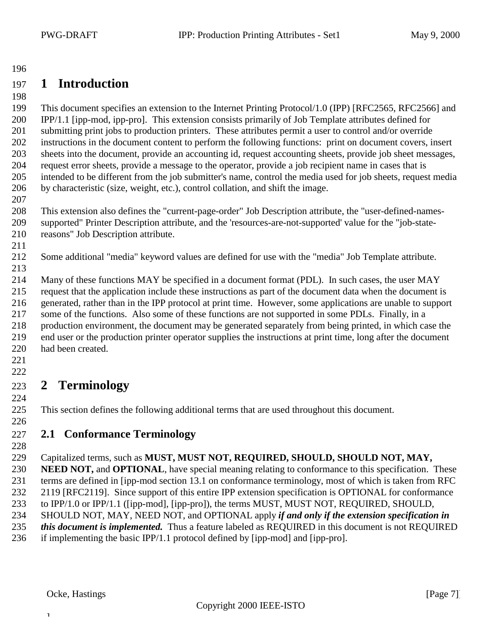## <span id="page-6-0"></span>**1 Introduction**

 This document specifies an extension to the Internet Printing Protocol/1.0 (IPP) [RFC2565, RFC2566] and IPP/1.1 [ipp-mod, ipp-pro]. This extension consists primarily of Job Template attributes defined for submitting print jobs to production printers. These attributes permit a user to control and/or override instructions in the document content to perform the following functions: print on document covers, insert sheets into the document, provide an accounting id, request accounting sheets, provide job sheet messages, request error sheets, provide a message to the operator, provide a job recipient name in cases that is intended to be different from the job submitter's name, control the media used for job sheets, request media by characteristic (size, weight, etc.), control collation, and shift the image.

 This extension also defines the "current-page-order" Job Description attribute, the "user-defined-names- supported" Printer Description attribute, and the 'resources-are-not-supported' value for the "job-state-reasons" Job Description attribute.

 Some additional "media" keyword values are defined for use with the "media" Job Template attribute. 

 Many of these functions MAY be specified in a document format (PDL). In such cases, the user MAY request that the application include these instructions as part of the document data when the document is generated, rather than in the IPP protocol at print time. However, some applications are unable to support some of the functions. Also some of these functions are not supported in some PDLs. Finally, in a production environment, the document may be generated separately from being printed, in which case the end user or the production printer operator supplies the instructions at print time, long after the document had been created.

 

#### **2 Terminology**

This section defines the following additional terms that are used throughout this document.

## **2.1 Conformance Terminology**

### Capitalized terms, such as **MUST, MUST NOT, REQUIRED, SHOULD, SHOULD NOT, MAY,**

 **NEED NOT,** and **OPTIONAL**, have special meaning relating to conformance to this specification. These terms are defined in [ipp-mod section 13.1 on conformance terminology, most of which is taken from RFC 2119 [RFC2119]. Since support of this entire IPP extension specification is OPTIONAL for conformance

to IPP/1.0 or IPP/1.1 ([ipp-mod], [ipp-pro]), the terms MUST, MUST NOT, REQUIRED, SHOULD,

- SHOULD NOT, MAY, NEED NOT, and OPTIONAL apply *if and only if the extension specification in*
- *this document is implemented.* Thus a feature labeled as REQUIRED in this document is not REQUIRED

if implementing the basic IPP/1.1 protocol defined by [ipp-mod] and [ipp-pro].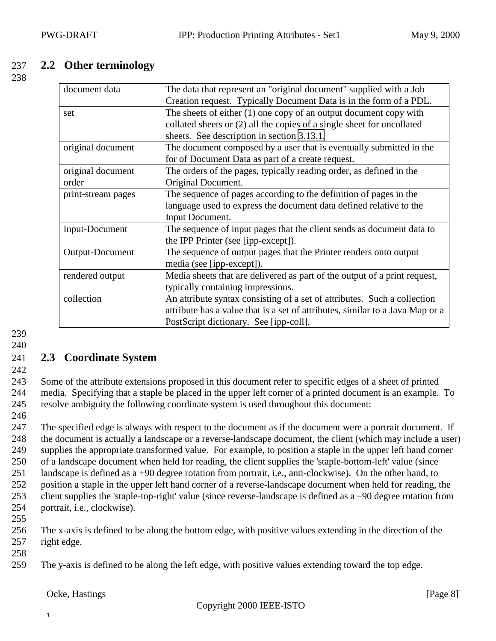### <span id="page-7-0"></span>237 **2.2 Other terminology**

238

| document data                                                                                | The data that represent an "original document" supplied with a Job            |  |
|----------------------------------------------------------------------------------------------|-------------------------------------------------------------------------------|--|
|                                                                                              | Creation request. Typically Document Data is in the form of a PDL.            |  |
| set                                                                                          | The sheets of either $(1)$ one copy of an output document copy with           |  |
|                                                                                              | collated sheets or (2) all the copies of a single sheet for uncollated        |  |
|                                                                                              | sheets. See description in section 3.13.1.                                    |  |
| original document                                                                            | The document composed by a user that is eventually submitted in the           |  |
|                                                                                              | for of Document Data as part of a create request.                             |  |
| original document                                                                            | The orders of the pages, typically reading order, as defined in the           |  |
| order                                                                                        | Original Document.                                                            |  |
| print-stream pages                                                                           | The sequence of pages according to the definition of pages in the             |  |
| language used to express the document data defined relative to the                           |                                                                               |  |
|                                                                                              | Input Document.                                                               |  |
| The sequence of input pages that the client sends as document data to<br>Input-Document      |                                                                               |  |
|                                                                                              | the IPP Printer (see [ipp-except]).                                           |  |
| Output-Document                                                                              | The sequence of output pages that the Printer renders onto output             |  |
|                                                                                              | media (see [ipp-except]).                                                     |  |
| rendered output<br>Media sheets that are delivered as part of the output of a print request, |                                                                               |  |
|                                                                                              | typically containing impressions.                                             |  |
| collection                                                                                   | An attribute syntax consisting of a set of attributes. Such a collection      |  |
|                                                                                              | attribute has a value that is a set of attributes, similar to a Java Map or a |  |
|                                                                                              | PostScript dictionary. See [ipp-coll].                                        |  |

239 240

## 241 **2.3 Coordinate System**

242

243 Some of the attribute extensions proposed in this document refer to specific edges of a sheet of printed 244 media. Specifying that a staple be placed in the upper left corner of a printed document is an example. To 245 resolve ambiguity the following coordinate system is used throughout this document:

246

 The specified edge is always with respect to the document as if the document were a portrait document. If the document is actually a landscape or a reverse-landscape document, the client (which may include a user) supplies the appropriate transformed value. For example, to position a staple in the upper left hand corner of a landscape document when held for reading, the client supplies the 'staple-bottom-left' value (since landscape is defined as a +90 degree rotation from portrait, i.e., anti-clockwise). On the other hand, to position a staple in the upper left hand corner of a reverse-landscape document when held for reading, the client supplies the 'staple-top-right' value (since reverse-landscape is defined as a –90 degree rotation from portrait, i.e., clockwise).

255

256 The x-axis is defined to be along the bottom edge, with positive values extending in the direction of the 257 right edge.

- 258
- 259 The y-axis is defined to be along the left edge, with positive values extending toward the top edge.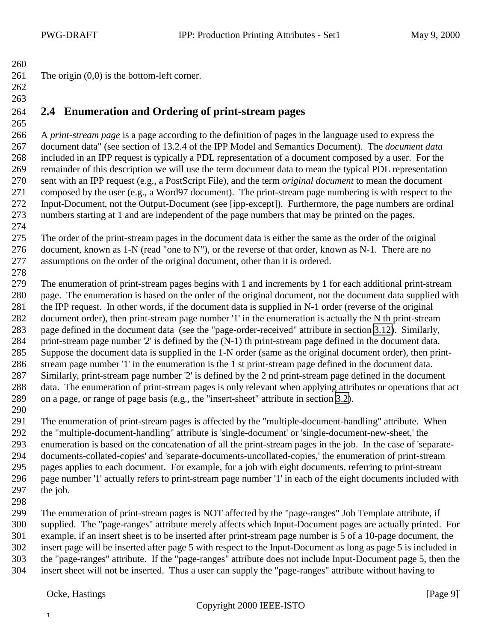- 261 The origin  $(0,0)$  is the bottom-left corner.
- 

<span id="page-8-0"></span>

## **2.4 Enumeration and Ordering of print-stream pages**

 A *print-stream page* is a page according to the definition of pages in the language used to express the document data" (see section of 13.2.4 of the IPP Model and Semantics Document). The *document data* included in an IPP request is typically a PDL representation of a document composed by a user. For the remainder of this description we will use the term document data to mean the typical PDL representation sent with an IPP request (e.g., a PostScript File), and the term *original document* to mean the document composed by the user (e.g., a Word97 document). The print-stream page numbering is with respect to the Input-Document, not the Output-Document (see [ipp-except]). Furthermore, the page numbers are ordinal numbers starting at 1 and are independent of the page numbers that may be printed on the pages.

 The order of the print-stream pages in the document data is either the same as the order of the original 276 document, known as 1-N (read "one to N"), or the reverse of that order, known as N-1. There are no assumptions on the order of the original document, other than it is ordered.

 The enumeration of print-stream pages begins with 1 and increments by 1 for each additional print-stream page. The enumeration is based on the order of the original document, not the document data supplied with the IPP request. In other words, if the document data is supplied in N-1 order (reverse of the original document order), then print-stream page number '1' in the enumeration is actually the N th print-stream page defined in the document data (see the "page-order-received" attribute in section [3.12\)](#page-35-0). Similarly, print-stream page number '2' is defined by the (N-1) th print-stream page defined in the document data. Suppose the document data is supplied in the 1-N order (same as the original document order), then print- stream page number '1' in the enumeration is the 1 st print-stream page defined in the document data. Similarly, print-stream page number '2' is defined by the 2 nd print-stream page defined in the document data. The enumeration of print-stream pages is only relevant when applying attributes or operations that act on a page, or range of page basis (e.g., the "insert-sheet" attribute in section [3.2\)](#page-14-0).

 The enumeration of print-stream pages is affected by the "multiple-document-handling" attribute. When the "multiple-document-handling" attribute is 'single-document' or 'single-document-new-sheet,' the enumeration is based on the concatenation of all the print-stream pages in the job. In the case of 'separate- documents-collated-copies' and 'separate-documents-uncollated-copies,' the enumeration of print-stream pages applies to each document. For example, for a job with eight documents, referring to print-stream page number '1' actually refers to print-stream page number '1' in each of the eight documents included with the job.

 The enumeration of print-stream pages is NOT affected by the "page-ranges" Job Template attribute, if supplied. The "page-ranges" attribute merely affects which Input-Document pages are actually printed. For example, if an insert sheet is to be inserted after print-stream page number is 5 of a 10-page document, the insert page will be inserted after page 5 with respect to the Input-Document as long as page 5 is included in the "page-ranges" attribute. If the "page-ranges" attribute does not include Input-Document page 5, then the insert sheet will not be inserted. Thus a user can supply the "page-ranges" attribute without having to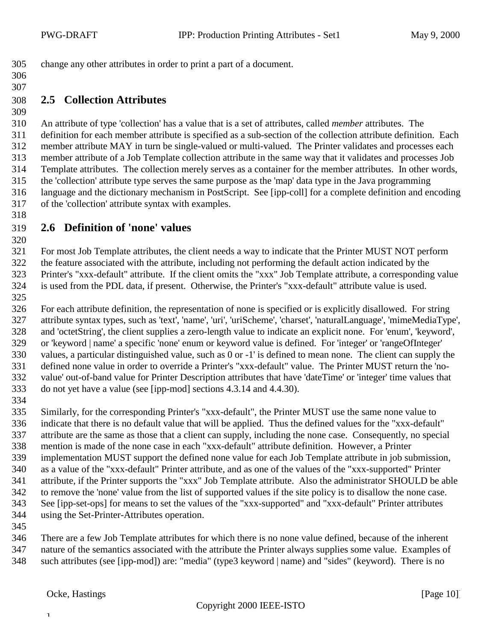<span id="page-9-0"></span>change any other attributes in order to print a part of a document.

#### 

### **2.5 Collection Attributes**

 An attribute of type 'collection' has a value that is a set of attributes, called *member* attributes. The definition for each member attribute is specified as a sub-section of the collection attribute definition. Each member attribute MAY in turn be single-valued or multi-valued. The Printer validates and processes each member attribute of a Job Template collection attribute in the same way that it validates and processes Job Template attributes. The collection merely serves as a container for the member attributes. In other words, the 'collection' attribute type serves the same purpose as the 'map' data type in the Java programming language and the dictionary mechanism in PostScript. See [ipp-coll] for a complete definition and encoding of the 'collection' attribute syntax with examples.

### **2.6 Definition of 'none' values**

 For most Job Template attributes, the client needs a way to indicate that the Printer MUST NOT perform the feature associated with the attribute, including not performing the default action indicated by the Printer's "xxx-default" attribute. If the client omits the "xxx" Job Template attribute, a corresponding value is used from the PDL data, if present. Otherwise, the Printer's "xxx-default" attribute value is used.

 For each attribute definition, the representation of none is specified or is explicitly disallowed. For string attribute syntax types, such as 'text', 'name', 'uri', 'uriScheme', 'charset', 'naturalLanguage', 'mimeMediaType', and 'octetString', the client supplies a zero-length value to indicate an explicit none. For 'enum', 'keyword', or 'keyword | name' a specific 'none' enum or keyword value is defined. For 'integer' or 'rangeOfInteger' values, a particular distinguished value, such as 0 or -1' is defined to mean none. The client can supply the defined none value in order to override a Printer's "xxx-default" value. The Printer MUST return the 'no- value' out-of-band value for Printer Description attributes that have 'dateTime' or 'integer' time values that do not yet have a value (see [ipp-mod] sections 4.3.14 and 4.4.30).

 Similarly, for the corresponding Printer's "xxx-default", the Printer MUST use the same none value to indicate that there is no default value that will be applied. Thus the defined values for the "xxx-default" attribute are the same as those that a client can supply, including the none case. Consequently, no special mention is made of the none case in each "xxx-default" attribute definition. However, a Printer implementation MUST support the defined none value for each Job Template attribute in job submission, as a value of the "xxx-default" Printer attribute, and as one of the values of the "xxx-supported" Printer attribute, if the Printer supports the "xxx" Job Template attribute. Also the administrator SHOULD be able to remove the 'none' value from the list of supported values if the site policy is to disallow the none case. See [ipp-set-ops] for means to set the values of the "xxx-supported" and "xxx-default" Printer attributes using the Set-Printer-Attributes operation.

 There are a few Job Template attributes for which there is no none value defined, because of the inherent nature of the semantics associated with the attribute the Printer always supplies some value. Examples of such attributes (see [ipp-mod]) are: "media" (type3 keyword | name) and "sides" (keyword). There is no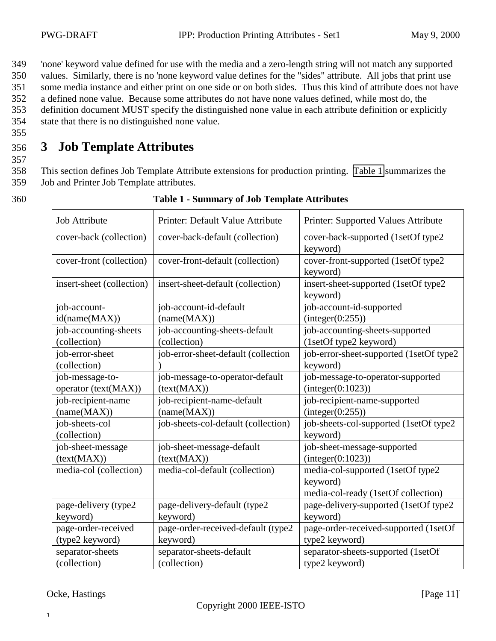<span id="page-10-0"></span>349 'none' keyword value defined for use with the media and a zero-length string will not match any supported

350 values. Similarly, there is no 'none keyword value defines for the "sides" attribute. All jobs that print use

351 some media instance and either print on one side or on both sides. Thus this kind of attribute does not have

352 a defined none value. Because some attributes do not have none values defined, while most do, the 353 definition document MUST specify the distinguished none value in each attribute definition or explicitly 354 state that there is no distinguished none value.

355

357

## 356 **3 Job Template Attributes**

358 This section defines Job Template Attribute extensions for production printing. Table 1 summarizes the 359 Job and Printer Job Template attributes.

360 **Table 1 - Summary of Job Template Attributes**

| <b>Job Attribute</b>                    | Printer: Default Value Attribute               | Printer: Supported Values Attribute                                                  |
|-----------------------------------------|------------------------------------------------|--------------------------------------------------------------------------------------|
| cover-back (collection)                 | cover-back-default (collection)                | cover-back-supported (1setOf type2<br>keyword)                                       |
| cover-front (collection)                | cover-front-default (collection)               | cover-front-supported (1setOf type2<br>keyword)                                      |
| insert-sheet (collection)               | insert-sheet-default (collection)              | insert-sheet-supported (1setOf type2<br>keyword)                                     |
| job-account-                            | job-account-id-default                         | job-account-id-supported                                                             |
| id(name(MAX))                           | (name(MAX))                                    | interger(0:255))                                                                     |
| job-accounting-sheets<br>(collection)   | job-accounting-sheets-default<br>(collection)  | job-accounting-sheets-supported<br>(1setOf type2 keyword)                            |
| job-error-sheet<br>(collection)         | job-error-sheet-default (collection            | job-error-sheet-supported (1setOf type2<br>keyword)                                  |
| job-message-to-<br>operator (text(MAX)) | job-message-to-operator-default<br>(text(MAX)) | job-message-to-operator-supported<br>interger(0:1023)                                |
| job-recipient-name<br>(name(MAX))       | job-recipient-name-default<br>(name(MAX))      | job-recipient-name-supported<br>(integer(0:255))                                     |
| job-sheets-col<br>(collection)          | job-sheets-col-default (collection)            | job-sheets-col-supported (1setOf type2<br>keyword)                                   |
| job-sheet-message<br>(text(MAX))        | job-sheet-message-default<br>(text(MAX))       | job-sheet-message-supported<br>interger(0:1023)                                      |
| media-col (collection)                  | media-col-default (collection)                 | media-col-supported (1setOf type2<br>keyword)<br>media-col-ready (1setOf collection) |
| page-delivery (type2                    | page-delivery-default (type2                   | page-delivery-supported (1setOf type2                                                |
| keyword)                                | keyword)                                       | keyword)                                                                             |
| page-order-received                     | page-order-received-default (type2             | page-order-received-supported (1setOf                                                |
| (type2 keyword)                         | keyword)                                       | type2 keyword)                                                                       |
| separator-sheets                        | separator-sheets-default                       | separator-sheets-supported (1setOf                                                   |
| (collection)                            | (collection)                                   | type2 keyword)                                                                       |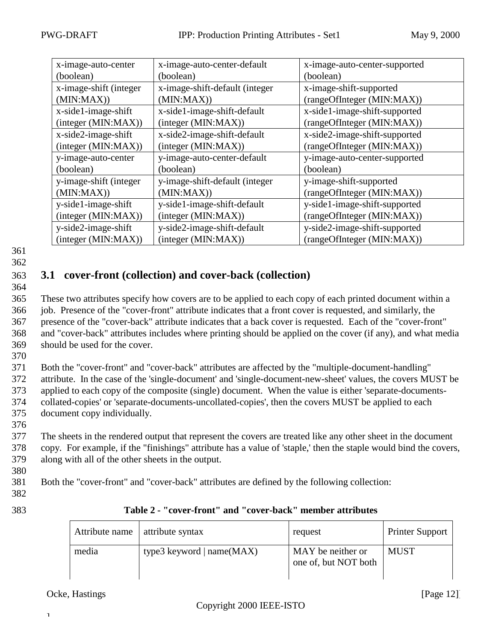<span id="page-11-0"></span>

| x-image-auto-center    | x-image-auto-center-default    | x-image-auto-center-supported |  |
|------------------------|--------------------------------|-------------------------------|--|
| (boolean)              | (boolean)                      | (boolean)                     |  |
| x-image-shift (integer | x-image-shift-default (integer | x-image-shift-supported       |  |
| (MIN:MAX)              | (MIN:MAX)                      | (rangeOfInteger (MIN:MAX))    |  |
| x-side1-image-shift    | x-side1-image-shift-default    | x-side1-image-shift-supported |  |
| (integer (MIN:MAX))    | (integer (MIN:MAX))            | (rangeOfInteger (MIN:MAX))    |  |
| x-side2-image-shift    | x-side2-image-shift-default    | x-side2-image-shift-supported |  |
| (integer (MIN:MAX))    | (integer (MIN:MAX))            | (rangeOfInteger (MIN:MAX))    |  |
| y-image-auto-center    | y-image-auto-center-default    | y-image-auto-center-supported |  |
| (boolean)              | (boolean)                      | (boolean)                     |  |
| y-image-shift (integer | y-image-shift-default (integer | y-image-shift-supported       |  |
| (MIN:MAX)              | (MIN:MAX))                     | (rangeOfInteger (MIN:MAX))    |  |
| y-side1-image-shift    | y-side1-image-shift-default    | y-side1-image-shift-supported |  |
| (integer (MIN:MAX))    | (integer (MIN:MAX))            | (rangeOfInteger (MIN:MAX))    |  |
| y-side2-image-shift    | y-side2-image-shift-default    | y-side2-image-shift-supported |  |
| (integer (MIN: MAX))   | (integer (MIN:MAX))            | (rangeOfInteger (MIN:MAX))    |  |

## 363 **3.1 cover-front (collection) and cover-back (collection)**

364

 These two attributes specify how covers are to be applied to each copy of each printed document within a job. Presence of the "cover-front" attribute indicates that a front cover is requested, and similarly, the presence of the "cover-back" attribute indicates that a back cover is requested. Each of the "cover-front" and "cover-back" attributes includes where printing should be applied on the cover (if any), and what media should be used for the cover.

370

 Both the "cover-front" and "cover-back" attributes are affected by the "multiple-document-handling" attribute. In the case of the 'single-document' and 'single-document-new-sheet' values, the covers MUST be applied to each copy of the composite (single) document. When the value is either 'separate-documents- collated-copies' or 'separate-documents-uncollated-copies', then the covers MUST be applied to each document copy individually.

376

377 The sheets in the rendered output that represent the covers are treated like any other sheet in the document 378 copy. For example, if the "finishings" attribute has a value of 'staple,' then the staple would bind the covers, 379 along with all of the other sheets in the output.

380

381 Both the "cover-front" and "cover-back" attributes are defined by the following collection:

382

| ۰, | ×<br>۰, | ٠<br>۰, |
|----|---------|---------|

#### 383 **Table 2 - "cover-front" and "cover-back" member attributes**

| Attribute name | attribute syntax            | request                                   | <b>Printer Support</b> |
|----------------|-----------------------------|-------------------------------------------|------------------------|
| media          | type3 keyword $ name(MAX) $ | MAY be neither or<br>one of, but NOT both | <b>MUST</b>            |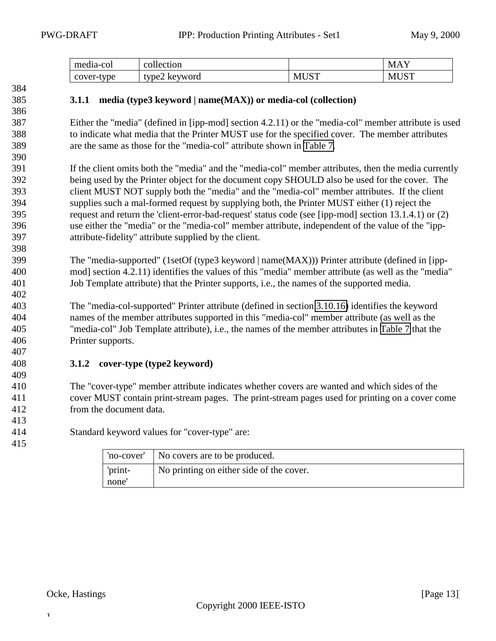<span id="page-12-0"></span>

| . .<br>media-col | diection<br>$\sim$             |                 | $\mathbf{r}$<br>$\mathcal{N}$                          |
|------------------|--------------------------------|-----------------|--------------------------------------------------------|
| type<br>cover-   | $t$ vpe $\angle$<br>'NA<br>NC. | $T \cap T$<br>M | $T \cap TT$<br>$\mathbf{M}^{\mathsf{T}}$<br>$\sim$ $-$ |

#### **3.1.1 media (type3 keyword | name(MAX)) or media-col (collection)**

 Either the "media" (defined in [ipp-mod] section 4.2.11) or the "media-col" member attribute is used to indicate what media that the Printer MUST use for the specified cover. The member attributes are the same as those for the "media-col" attribute shown in [Table 7.](#page-25-0)

 If the client omits both the "media" and the "media-col" member attributes, then the media currently being used by the Printer object for the document copy SHOULD also be used for the cover. The client MUST NOT supply both the "media" and the "media-col" member attributes. If the client supplies such a mal-formed request by supplying both, the Printer MUST either (1) reject the request and return the 'client-error-bad-request' status code (see [ipp-mod] section 13.1.4.1) or (2) use either the "media" or the "media-col" member attribute, independent of the value of the "ipp-attribute-fidelity" attribute supplied by the client.

 The "media-supported" (1setOf (type3 keyword | name(MAX))) Printer attribute (defined in [ipp- mod] section 4.2.11) identifies the values of this "media" member attribute (as well as the "media" Job Template attribute) that the Printer supports, i.e., the names of the supported media.

 The "media-col-supported" Printer attribute (defined in section [3.10.16\)](#page-33-0) identifies the keyword names of the member attributes supported in this "media-col" member attribute (as well as the "media-col" Job Template attribute), i.e., the names of the member attributes in [Table 7](#page-25-0) that the Printer supports.

#### **3.1.2 cover-type (type2 keyword)**

 The "cover-type" member attribute indicates whether covers are wanted and which sides of the cover MUST contain print-stream pages. The print-stream pages used for printing on a cover come from the document data.

Standard keyword values for "cover-type" are:

|                 | 'no-cover'   No covers are to be produced. |
|-----------------|--------------------------------------------|
| 'print-<br>none | No printing on either side of the cover.   |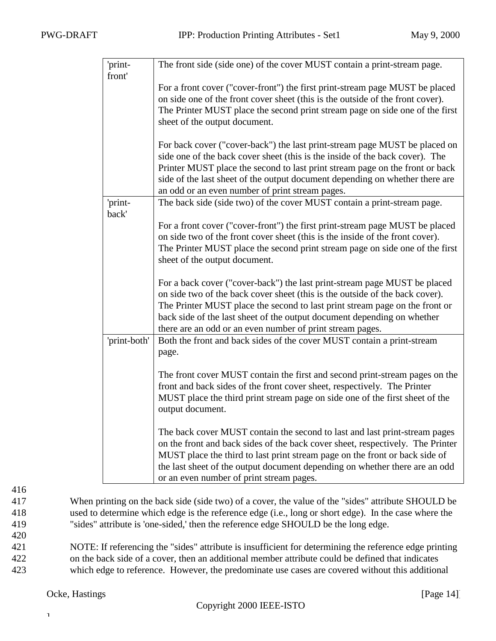| 'print-<br>front' | The front side (side one) of the cover MUST contain a print-stream page.                                                                                |
|-------------------|---------------------------------------------------------------------------------------------------------------------------------------------------------|
|                   | For a front cover ("cover-front") the first print-stream page MUST be placed                                                                            |
|                   | on side one of the front cover sheet (this is the outside of the front cover).                                                                          |
|                   | The Printer MUST place the second print stream page on side one of the first                                                                            |
|                   | sheet of the output document.                                                                                                                           |
|                   |                                                                                                                                                         |
|                   | For back cover ("cover-back") the last print-stream page MUST be placed on                                                                              |
|                   | side one of the back cover sheet (this is the inside of the back cover). The                                                                            |
|                   | Printer MUST place the second to last print stream page on the front or back                                                                            |
|                   | side of the last sheet of the output document depending on whether there are                                                                            |
|                   | an odd or an even number of print stream pages.                                                                                                         |
| 'print-           | The back side (side two) of the cover MUST contain a print-stream page.                                                                                 |
| back'             |                                                                                                                                                         |
|                   | For a front cover ("cover-front") the first print-stream page MUST be placed                                                                            |
|                   | on side two of the front cover sheet (this is the inside of the front cover).                                                                           |
|                   | The Printer MUST place the second print stream page on side one of the first                                                                            |
|                   | sheet of the output document.                                                                                                                           |
|                   | For a back cover ("cover-back") the last print-stream page MUST be placed                                                                               |
|                   | on side two of the back cover sheet (this is the outside of the back cover).                                                                            |
|                   | The Printer MUST place the second to last print stream page on the front or                                                                             |
|                   | back side of the last sheet of the output document depending on whether                                                                                 |
|                   | there are an odd or an even number of print stream pages.                                                                                               |
| 'print-both'      | Both the front and back sides of the cover MUST contain a print-stream                                                                                  |
|                   | page.                                                                                                                                                   |
|                   |                                                                                                                                                         |
|                   | The front cover MUST contain the first and second print-stream pages on the<br>front and back sides of the front cover sheet, respectively. The Printer |
|                   | MUST place the third print stream page on side one of the first sheet of the                                                                            |
|                   | output document.                                                                                                                                        |
|                   |                                                                                                                                                         |
|                   | The back cover MUST contain the second to last and last print-stream pages                                                                              |
|                   | on the front and back sides of the back cover sheet, respectively. The Printer                                                                          |
|                   | MUST place the third to last print stream page on the front or back side of                                                                             |
|                   | the last sheet of the output document depending on whether there are an odd                                                                             |
|                   | or an even number of print stream pages.                                                                                                                |

417 When printing on the back side (side two) of a cover, the value of the "sides" attribute SHOULD be 418 used to determine which edge is the reference edge (i.e., long or short edge). In the case where the 419 "sides" attribute is 'one-sided,' then the reference edge SHOULD be the long edge.

420 NOTE: If referencing the "sides" attribute is insufficient for determining the reference edge printing on the back side of a cover, then an additional member attribute could be defined that indicates which edge to reference. However, the predominate use cases are covered without this additional

 $\mathbf T$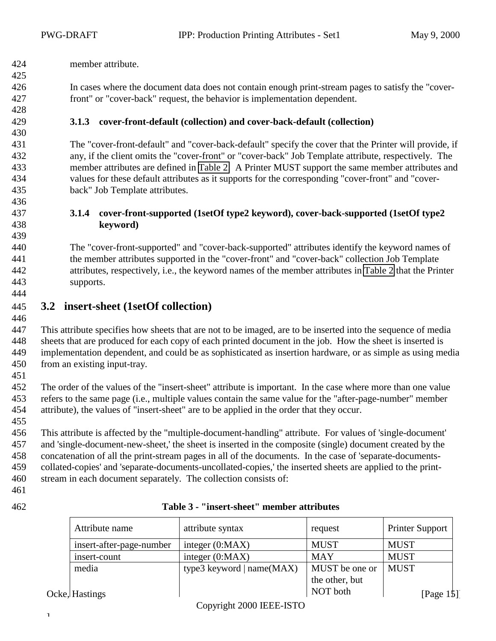<span id="page-14-0"></span>member attribute.

 In cases where the document data does not contain enough print-stream pages to satisfy the "cover-front" or "cover-back" request, the behavior is implementation dependent.

**3.1.3 cover-front-default (collection) and cover-back-default (collection)**

 The "cover-front-default" and "cover-back-default" specify the cover that the Printer will provide, if any, if the client omits the "cover-front" or "cover-back" Job Template attribute, respectively. The member attributes are defined in [Table 2.](#page-11-0) A Printer MUST support the same member attributes and values for these default attributes as it supports for the corresponding "cover-front" and "cover-back" Job Template attributes.

#### **3.1.4 cover-front-supported (1setOf type2 keyword), cover-back-supported (1setOf type2 keyword)**

 The "cover-front-supported" and "cover-back-supported" attributes identify the keyword names of the member attributes supported in the "cover-front" and "cover-back" collection Job Template attributes, respectively, i.e., the keyword names of the member attributes in [Table 2](#page-11-0) that the Printer supports. 

## **3.2 insert-sheet (1setOf collection)**

 This attribute specifies how sheets that are not to be imaged, are to be inserted into the sequence of media sheets that are produced for each copy of each printed document in the job. How the sheet is inserted is implementation dependent, and could be as sophisticated as insertion hardware, or as simple as using media from an existing input-tray.

 The order of the values of the "insert-sheet" attribute is important. In the case where more than one value refers to the same page (i.e., multiple values contain the same value for the "after-page-number" member attribute), the values of "insert-sheet" are to be applied in the order that they occur.

 This attribute is affected by the "multiple-document-handling" attribute. For values of 'single-document' and 'single-document-new-sheet,' the sheet is inserted in the composite (single) document created by the concatenation of all the print-stream pages in all of the documents. In the case of 'separate-documents- collated-copies' and 'separate-documents-uncollated-copies,' the inserted sheets are applied to the print-stream in each document separately. The collection consists of:

### **Table 3 - "insert-sheet" member attributes**

| Attribute name           | attribute syntax            | request        | <b>Printer Support</b> |
|--------------------------|-----------------------------|----------------|------------------------|
| insert-after-page-number | integer $(0:MAX)$           | <b>MUST</b>    | <b>MUST</b>            |
| insert-count             | integer $(0:MAX)$           | <b>MAY</b>     | <b>MUST</b>            |
| media                    | type3 keyword $ name(MAX) $ | MUST be one or | <b>MUST</b>            |
|                          |                             | the other, but |                        |
| Ocke, Hastings           |                             | NOT both       | [Page $15$ ]           |

Copyright 2000 IEEE-ISTO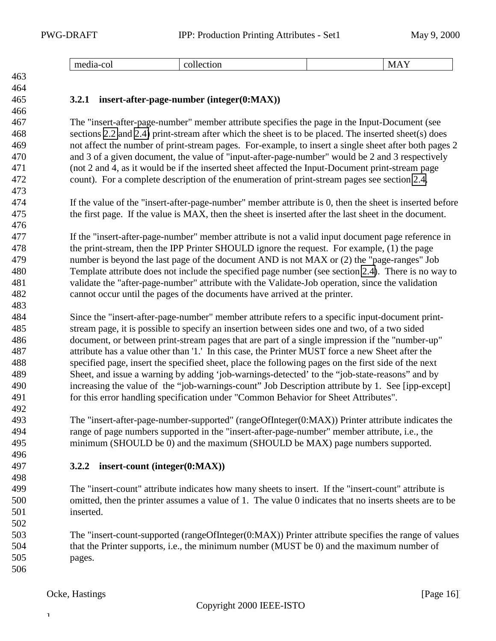| $-$<br>--<br>.<br>. | UH<br>. | NЛ<br>$\mathbf{u}$<br>. |
|---------------------|---------|-------------------------|
|                     |         |                         |

### <span id="page-15-0"></span>

#### **3.2.1 insert-after-page-number (integer(0:MAX))**

 The "insert-after-page-number" member attribute specifies the page in the Input-Document (see sections [2.2](#page-7-0) and [2.4\)](#page-8-0) print-stream after which the sheet is to be placed. The inserted sheet(s) does not affect the number of print-stream pages. For-example, to insert a single sheet after both pages 2 and 3 of a given document, the value of "input-after-page-number" would be 2 and 3 respectively (not 2 and 4, as it would be if the inserted sheet affected the Input-Document print-stream page count). For a complete description of the enumeration of print-stream pages see section [2.4.](#page-8-0)

 If the value of the "insert-after-page-number" member attribute is 0, then the sheet is inserted before the first page. If the value is MAX, then the sheet is inserted after the last sheet in the document.

 If the "insert-after-page-number" member attribute is not a valid input document page reference in the print-stream, then the IPP Printer SHOULD ignore the request. For example, (1) the page number is beyond the last page of the document AND is not MAX or (2) the "page-ranges" Job Template attribute does not include the specified page number (see section [2.4\)](#page-8-0). There is no way to validate the "after-page-number" attribute with the Validate-Job operation, since the validation cannot occur until the pages of the documents have arrived at the printer.

 Since the "insert-after-page-number" member attribute refers to a specific input-document print- stream page, it is possible to specify an insertion between sides one and two, of a two sided document, or between print-stream pages that are part of a single impression if the "number-up" attribute has a value other than '1.' In this case, the Printer MUST force a new Sheet after the specified page, insert the specified sheet, place the following pages on the first side of the next Sheet, and issue a warning by adding 'job-warnings-detected' to the "job-state-reasons" and by increasing the value of the "job-warnings-count" Job Description attribute by 1. See [ipp-except] for this error handling specification under "Common Behavior for Sheet Attributes".

 The "insert-after-page-number-supported" (rangeOfInteger(0:MAX)) Printer attribute indicates the range of page numbers supported in the "insert-after-page-number" member attribute, i.e., the minimum (SHOULD be 0) and the maximum (SHOULD be MAX) page numbers supported.

#### **3.2.2 insert-count (integer(0:MAX))**

 The "insert-count" attribute indicates how many sheets to insert. If the "insert-count" attribute is omitted, then the printer assumes a value of 1. The value 0 indicates that no inserts sheets are to be inserted.

 The "insert-count-supported (rangeOfInteger(0:MAX)) Printer attribute specifies the range of values that the Printer supports, i.e., the minimum number (MUST be 0) and the maximum number of pages.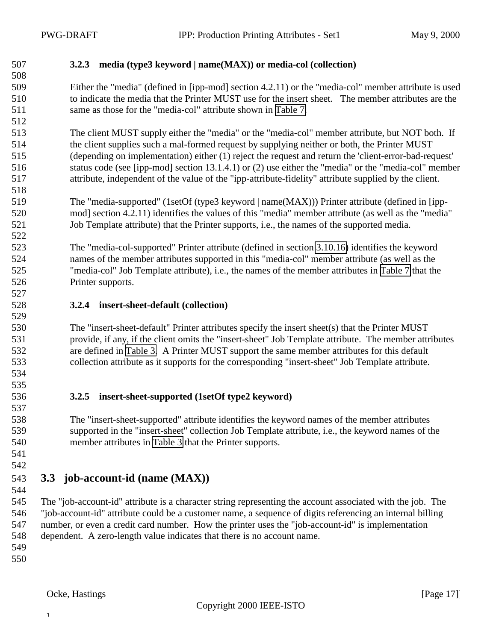#### <span id="page-16-0"></span>**3.2.3 media (type3 keyword | name(MAX)) or media-col (collection)**

 Either the "media" (defined in [ipp-mod] section 4.2.11) or the "media-col" member attribute is used to indicate the media that the Printer MUST use for the insert sheet. The member attributes are the same as those for the "media-col" attribute shown in [Table 7.](#page-25-0)

 The client MUST supply either the "media" or the "media-col" member attribute, but NOT both. If the client supplies such a mal-formed request by supplying neither or both, the Printer MUST (depending on implementation) either (1) reject the request and return the 'client-error-bad-request' status code (see [ipp-mod] section 13.1.4.1) or (2) use either the "media" or the "media-col" member attribute, independent of the value of the "ipp-attribute-fidelity" attribute supplied by the client.

 The "media-supported" (1setOf (type3 keyword | name(MAX))) Printer attribute (defined in [ipp- mod] section 4.2.11) identifies the values of this "media" member attribute (as well as the "media" Job Template attribute) that the Printer supports, i.e., the names of the supported media.

 The "media-col-supported" Printer attribute (defined in section [3.10.16\)](#page-33-0) identifies the keyword names of the member attributes supported in this "media-col" member attribute (as well as the "media-col" Job Template attribute), i.e., the names of the member attributes in [Table 7](#page-25-0) that the Printer supports. 

#### **3.2.4 insert-sheet-default (collection)**

 The "insert-sheet-default" Printer attributes specify the insert sheet(s) that the Printer MUST provide, if any, if the client omits the "insert-sheet" Job Template attribute. The member attributes are defined in [Table 3.](#page-14-0) A Printer MUST support the same member attributes for this default collection attribute as it supports for the corresponding "insert-sheet" Job Template attribute.

 

#### **3.2.5 insert-sheet-supported (1setOf type2 keyword)**

 The "insert-sheet-supported" attribute identifies the keyword names of the member attributes supported in the "insert-sheet" collection Job Template attribute, i.e., the keyword names of the member attributes in [Table 3](#page-14-0) that the Printer supports.

 

#### **3.3 job-account-id (name (MAX))**

 The "job-account-id" attribute is a character string representing the account associated with the job. The "job-account-id" attribute could be a customer name, a sequence of digits referencing an internal billing number, or even a credit card number. How the printer uses the "job-account-id" is implementation dependent. A zero-length value indicates that there is no account name.

- 
-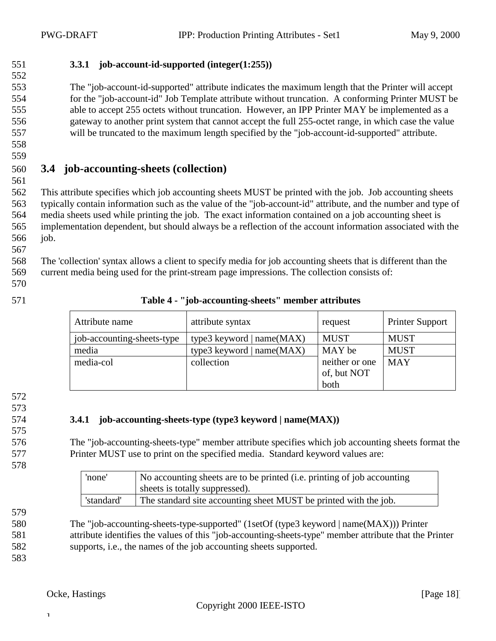- 
- <span id="page-17-0"></span>**3.3.1 job-account-id-supported (integer(1:255))**

 The "job-account-id-supported" attribute indicates the maximum length that the Printer will accept for the "job-account-id" Job Template attribute without truncation. A conforming Printer MUST be able to accept 255 octets without truncation. However, an IPP Printer MAY be implemented as a gateway to another print system that cannot accept the full 255-octet range, in which case the value will be truncated to the maximum length specified by the "job-account-id-supported" attribute.

## 

## **3.4 job-accounting-sheets (collection)**

 This attribute specifies which job accounting sheets MUST be printed with the job. Job accounting sheets typically contain information such as the value of the "job-account-id" attribute, and the number and type of media sheets used while printing the job. The exact information contained on a job accounting sheet is implementation dependent, but should always be a reflection of the account information associated with the job.

 The 'collection' syntax allows a client to specify media for job accounting sheets that is different than the current media being used for the print-stream page impressions. The collection consists of:

- 
- 

| 571 | Table 4 - "job-accounting-sheets" member attributes |  |
|-----|-----------------------------------------------------|--|
|     |                                                     |  |

| Attribute name             | attribute syntax            | request        | <b>Printer Support</b> |
|----------------------------|-----------------------------|----------------|------------------------|
| job-accounting-sheets-type | type3 keyword $ name(MAX) $ | <b>MUST</b>    | <b>MUST</b>            |
| media                      | type3 keyword $ name(MAX) $ | MAY be         | <b>MUST</b>            |
| media-col                  | collection                  | neither or one | <b>MAY</b>             |
|                            |                             | of, but NOT    |                        |
|                            |                             | both           |                        |

- 
- 

#### **3.4.1 job-accounting-sheets-type (type3 keyword | name(MAX))**

 The "job-accounting-sheets-type" member attribute specifies which job accounting sheets format the Printer MUST use to print on the specified media. Standard keyword values are:

| 'none'     | No accounting sheets are to be printed (i.e. printing of job accounting<br>sheets is totally suppressed). |
|------------|-----------------------------------------------------------------------------------------------------------|
| 'standard' | The standard site accounting sheet MUST be printed with the job.                                          |

 The "job-accounting-sheets-type-supported" (1setOf (type3 keyword | name(MAX))) Printer attribute identifies the values of this "job-accounting-sheets-type" member attribute that the Printer supports, i.e., the names of the job accounting sheets supported.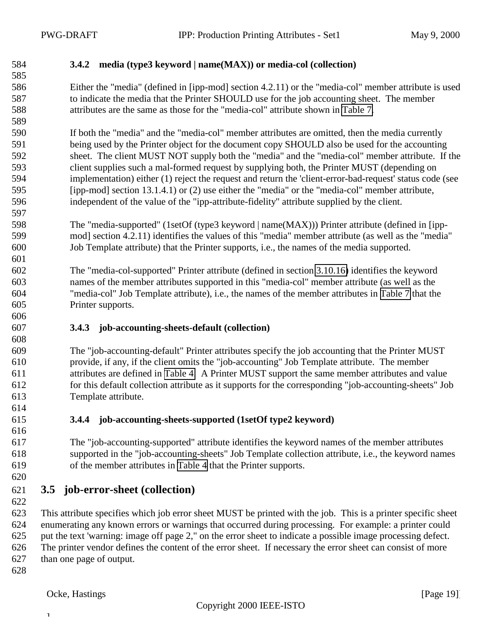#### <span id="page-18-0"></span>**3.4.2 media (type3 keyword | name(MAX)) or media-col (collection)**

 Either the "media" (defined in [ipp-mod] section 4.2.11) or the "media-col" member attribute is used to indicate the media that the Printer SHOULD use for the job accounting sheet. The member attributes are the same as those for the "media-col" attribute shown in [Table 7.](#page-25-0)

 If both the "media" and the "media-col" member attributes are omitted, then the media currently being used by the Printer object for the document copy SHOULD also be used for the accounting sheet. The client MUST NOT supply both the "media" and the "media-col" member attribute. If the client supplies such a mal-formed request by supplying both, the Printer MUST (depending on implementation) either (1) reject the request and return the 'client-error-bad-request' status code (see [ipp-mod] section 13.1.4.1) or (2) use either the "media" or the "media-col" member attribute, independent of the value of the "ipp-attribute-fidelity" attribute supplied by the client.

 The "media-supported" (1setOf (type3 keyword | name(MAX))) Printer attribute (defined in [ipp- mod] section 4.2.11) identifies the values of this "media" member attribute (as well as the "media" Job Template attribute) that the Printer supports, i.e., the names of the media supported.

 The "media-col-supported" Printer attribute (defined in section [3.10.16\)](#page-33-0) identifies the keyword names of the member attributes supported in this "media-col" member attribute (as well as the "media-col" Job Template attribute), i.e., the names of the member attributes in [Table 7](#page-25-0) that the Printer supports.

#### **3.4.3 job-accounting-sheets-default (collection)**

 The "job-accounting-default" Printer attributes specify the job accounting that the Printer MUST provide, if any, if the client omits the "job-accounting" Job Template attribute. The member attributes are defined in [Table 4.](#page-17-0) A Printer MUST support the same member attributes and value for this default collection attribute as it supports for the corresponding "job-accounting-sheets" Job Template attribute.

#### **3.4.4 job-accounting-sheets-supported (1setOf type2 keyword)**

 The "job-accounting-supported" attribute identifies the keyword names of the member attributes supported in the "job-accounting-sheets" Job Template collection attribute, i.e., the keyword names of the member attributes in [Table 4](#page-17-0) that the Printer supports.

### **3.5 job-error-sheet (collection)**

 This attribute specifies which job error sheet MUST be printed with the job. This is a printer specific sheet enumerating any known errors or warnings that occurred during processing. For example: a printer could put the text 'warning: image off page 2," on the error sheet to indicate a possible image processing defect. The printer vendor defines the content of the error sheet. If necessary the error sheet can consist of more than one page of output.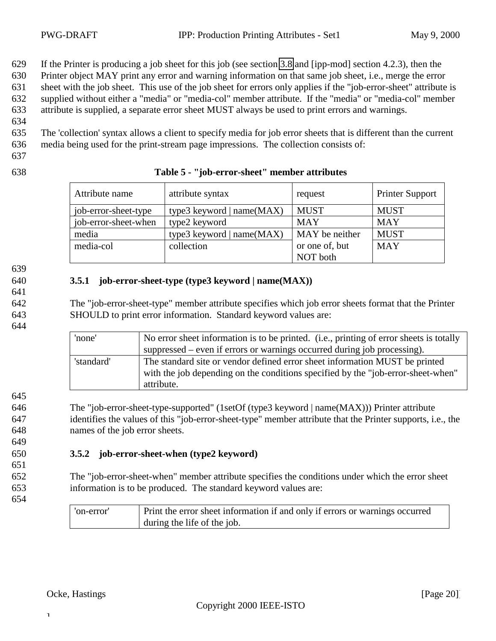<span id="page-19-0"></span>629 If the Printer is producing a job sheet for this job (see section [3.8](#page-22-0) and [ipp-mod] section 4.2.3), then the

630 Printer object MAY print any error and warning information on that same job sheet, i.e., merge the error

631 sheet with the job sheet. This use of the job sheet for errors only applies if the "job-error-sheet" attribute is

632 supplied without either a "media" or "media-col" member attribute. If the "media" or "media-col" member 633 attribute is supplied, a separate error sheet MUST always be used to print errors and warnings.

634

635 The 'collection' syntax allows a client to specify media for job error sheets that is different than the current 636 media being used for the print-stream page impressions. The collection consists of:

- 637
- 

#### 638 **Table 5 - "job-error-sheet" member attributes**

| Attribute name       | attribute syntax            | request        | <b>Printer Support</b> |
|----------------------|-----------------------------|----------------|------------------------|
| job-error-sheet-type | type3 keyword $ name(MAX) $ | <b>MUST</b>    | <b>MUST</b>            |
| job-error-sheet-when | type2 keyword               | <b>MAY</b>     | <b>MAY</b>             |
| media                | type3 keyword $ name(MAX) $ | MAY be neither | <b>MUST</b>            |
| media-col            | collection                  | or one of, but | <b>MAY</b>             |
|                      |                             | NOT both       |                        |

639

641

644

645

649

651

#### 640 **3.5.1 job-error-sheet-type (type3 keyword | name(MAX))**

642 The "job-error-sheet-type" member attribute specifies which job error sheets format that the Printer 643 SHOULD to print error information. Standard keyword values are:

> 'none' No error sheet information is to be printed. (i.e., printing of error sheets is totally suppressed – even if errors or warnings occurred during job processing). 'standard' The standard site or vendor defined error sheet information MUST be printed with the job depending on the conditions specified by the "job-error-sheet-when" attribute.

646 The "job-error-sheet-type-supported" (1setOf (type3 keyword | name(MAX))) Printer attribute 647 identifies the values of this "job-error-sheet-type" member attribute that the Printer supports, i.e., the 648 names of the job error sheets.

#### 650 **3.5.2 job-error-sheet-when (type2 keyword)**

652 The "job-error-sheet-when" member attribute specifies the conditions under which the error sheet 653 information is to be produced. The standard keyword values are:

654

| 'on-error' | Print the error sheet information if and only if errors or warnings occurred |
|------------|------------------------------------------------------------------------------|
|            | during the life of the job.                                                  |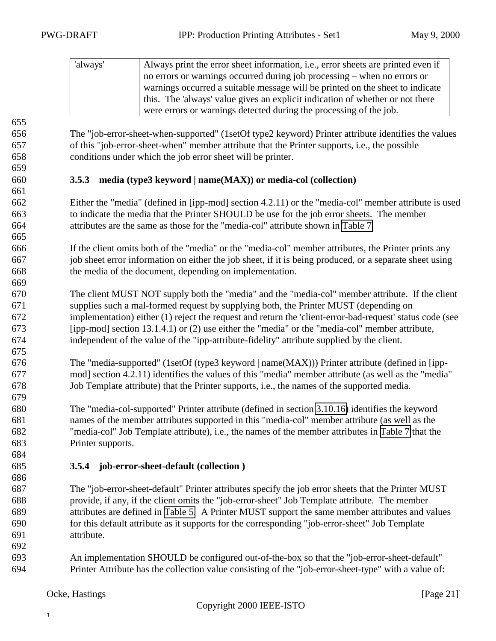<span id="page-20-0"></span>

| 'always' | Always print the error sheet information, i.e., error sheets are printed even if |
|----------|----------------------------------------------------------------------------------|
|          | no errors or warnings occurred during job processing – when no errors or         |
|          | warnings occurred a suitable message will be printed on the sheet to indicate    |
|          | this. The 'always' value gives an explicit indication of whether or not there    |
|          | were errors or warnings detected during the processing of the job.               |

 The "job-error-sheet-when-supported" (1setOf type2 keyword) Printer attribute identifies the values of this "job-error-sheet-when" member attribute that the Printer supports, i.e., the possible conditions under which the job error sheet will be printer.

#### **3.5.3 media (type3 keyword | name(MAX)) or media-col (collection)**

 Either the "media" (defined in [ipp-mod] section 4.2.11) or the "media-col" member attribute is used to indicate the media that the Printer SHOULD be use for the job error sheets. The member attributes are the same as those for the "media-col" attribute shown in [Table 7.](#page-25-0)

 If the client omits both of the "media" or the "media-col" member attributes, the Printer prints any job sheet error information on either the job sheet, if it is being produced, or a separate sheet using the media of the document, depending on implementation.

 The client MUST NOT supply both the "media" and the "media-col" member attribute. If the client supplies such a mal-formed request by supplying both, the Printer MUST (depending on implementation) either (1) reject the request and return the 'client-error-bad-request' status code (see [ipp-mod] section 13.1.4.1) or (2) use either the "media" or the "media-col" member attribute, independent of the value of the "ipp-attribute-fidelity" attribute supplied by the client.

 The "media-supported" (1setOf (type3 keyword | name(MAX))) Printer attribute (defined in [ipp- mod] section 4.2.11) identifies the values of this "media" member attribute (as well as the "media" Job Template attribute) that the Printer supports, i.e., the names of the supported media.

 The "media-col-supported" Printer attribute (defined in section [3.10.16\)](#page-33-0) identifies the keyword names of the member attributes supported in this "media-col" member attribute (as well as the "media-col" Job Template attribute), i.e., the names of the member attributes in [Table 7](#page-25-0) that the Printer supports.

**3.5.4 job-error-sheet-default (collection )**

 The "job-error-sheet-default" Printer attributes specify the job error sheets that the Printer MUST provide, if any, if the client omits the "job-error-sheet" Job Template attribute. The member attributes are defined in [Table 5.](#page-19-0) A Printer MUST support the same member attributes and values for this default attribute as it supports for the corresponding "job-error-sheet" Job Template attribute.

 An implementation SHOULD be configured out-of-the-box so that the "job-error-sheet-default" Printer Attribute has the collection value consisting of the "job-error-sheet-type" with a value of: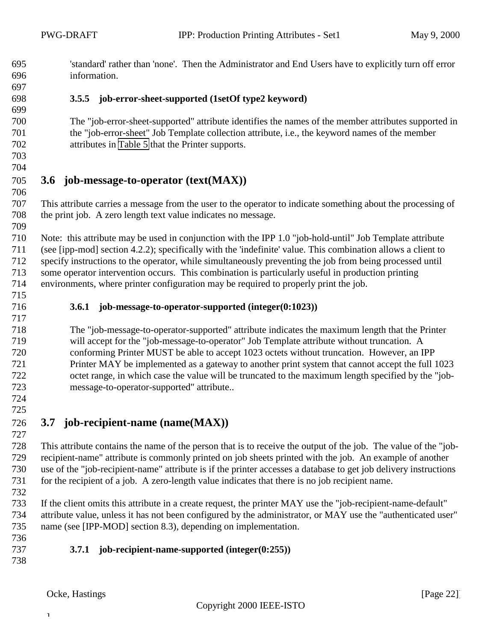- <span id="page-21-0"></span> 'standard' rather than 'none'. Then the Administrator and End Users have to explicitly turn off error information.
- 
- 

### **3.5.5 job-error-sheet-supported (1setOf type2 keyword)**

- The "job-error-sheet-supported" attribute identifies the names of the member attributes supported in the "job-error-sheet" Job Template collection attribute, i.e., the keyword names of the member attributes in [Table 5](#page-19-0) that the Printer supports.
- 

#### **3.6 job-message-to-operator (text(MAX))**

 This attribute carries a message from the user to the operator to indicate something about the processing of the print job. A zero length text value indicates no message.

 Note: this attribute may be used in conjunction with the IPP 1.0 "job-hold-until" Job Template attribute (see [ipp-mod] section 4.2.2); specifically with the 'indefinite' value. This combination allows a client to specify instructions to the operator, while simultaneously preventing the job from being processed until some operator intervention occurs. This combination is particularly useful in production printing environments, where printer configuration may be required to properly print the job.

#### **3.6.1 job-message-to-operator-supported (integer(0:1023))**

 The "job-message-to-operator-supported" attribute indicates the maximum length that the Printer will accept for the "job-message-to-operator" Job Template attribute without truncation. A conforming Printer MUST be able to accept 1023 octets without truncation. However, an IPP Printer MAY be implemented as a gateway to another print system that cannot accept the full 1023 octet range, in which case the value will be truncated to the maximum length specified by the "job-message-to-operator-supported" attribute..

 

## **3.7 job-recipient-name (name(MAX))**

 This attribute contains the name of the person that is to receive the output of the job. The value of the "job- recipient-name" attribute is commonly printed on job sheets printed with the job. An example of another use of the "job-recipient-name" attribute is if the printer accesses a database to get job delivery instructions for the recipient of a job. A zero-length value indicates that there is no job recipient name.

 If the client omits this attribute in a create request, the printer MAY use the "job-recipient-name-default" attribute value, unless it has not been configured by the administrator, or MAY use the "authenticated user" name (see [IPP-MOD] section 8.3), depending on implementation.

#### **3.7.1 job-recipient-name-supported (integer(0:255))**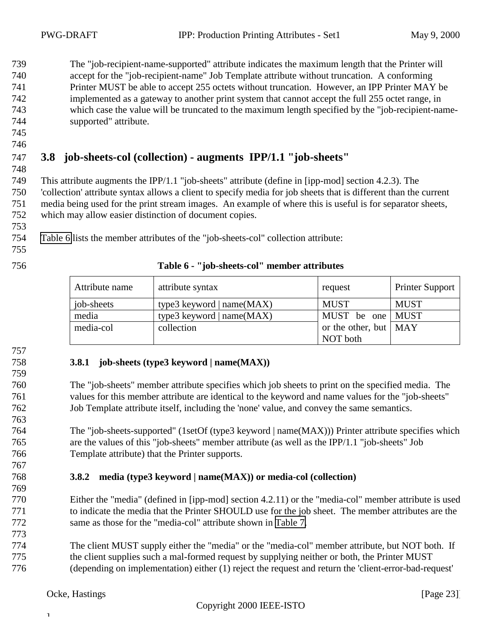<span id="page-22-0"></span> The "job-recipient-name-supported" attribute indicates the maximum length that the Printer will accept for the "job-recipient-name" Job Template attribute without truncation. A conforming Printer MUST be able to accept 255 octets without truncation. However, an IPP Printer MAY be implemented as a gateway to another print system that cannot accept the full 255 octet range, in which case the value will be truncated to the maximum length specified by the "job-recipient-name-supported" attribute.

 

#### **3.8 job-sheets-col (collection) - augments IPP/1.1 "job-sheets"**

 This attribute augments the IPP/1.1 "job-sheets" attribute (define in [ipp-mod] section 4.2.3). The 'collection' attribute syntax allows a client to specify media for job sheets that is different than the current media being used for the print stream images. An example of where this is useful is for separator sheets, which may allow easier distinction of document copies.

Table 6 lists the member attributes of the "job-sheets-col" collection attribute:

#### **Table 6 - "job-sheets-col" member attributes**

| Attribute name     | attribute syntax            | request                       | <b>Printer Support</b> |
|--------------------|-----------------------------|-------------------------------|------------------------|
| $\vert$ job-sheets | type3 keyword $ name(MAX) $ | <b>MUST</b>                   | <b>MUST</b>            |
| media              | type3 keyword   $name(MAX)$ | MUST be one MUST              |                        |
| media-col          | collection                  | or the other, but $\vert$ MAY |                        |
|                    |                             | NOT both                      |                        |

#### **3.8.1 job-sheets (type3 keyword | name(MAX))**

 The "job-sheets" member attribute specifies which job sheets to print on the specified media. The values for this member attribute are identical to the keyword and name values for the "job-sheets" Job Template attribute itself, including the 'none' value, and convey the same semantics.

 The "job-sheets-supported" (1setOf (type3 keyword | name(MAX))) Printer attribute specifies which are the values of this "job-sheets" member attribute (as well as the IPP/1.1 "job-sheets" Job Template attribute) that the Printer supports.

#### **3.8.2 media (type3 keyword | name(MAX)) or media-col (collection)**

- Either the "media" (defined in [ipp-mod] section 4.2.11) or the "media-col" member attribute is used to indicate the media that the Printer SHOULD use for the job sheet. The member attributes are the same as those for the "media-col" attribute shown in [Table 7.](#page-25-0)
- The client MUST supply either the "media" or the "media-col" member attribute, but NOT both. If the client supplies such a mal-formed request by supplying neither or both, the Printer MUST (depending on implementation) either (1) reject the request and return the 'client-error-bad-request'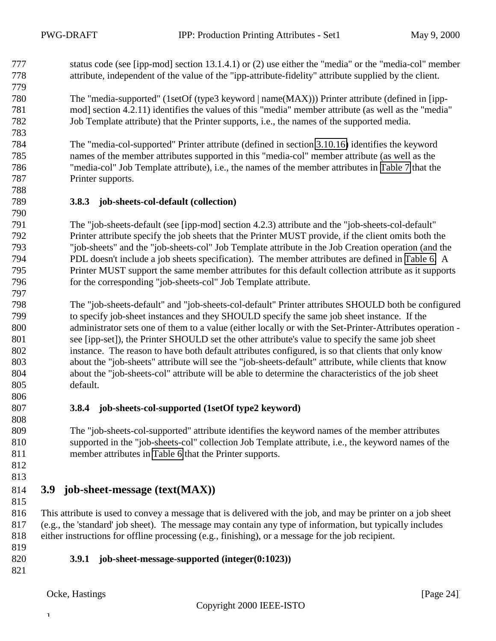<span id="page-23-0"></span> status code (see [ipp-mod] section 13.1.4.1) or (2) use either the "media" or the "media-col" member attribute, independent of the value of the "ipp-attribute-fidelity" attribute supplied by the client.

 The "media-supported" (1setOf (type3 keyword | name(MAX))) Printer attribute (defined in [ipp- mod] section 4.2.11) identifies the values of this "media" member attribute (as well as the "media" Job Template attribute) that the Printer supports, i.e., the names of the supported media.

 The "media-col-supported" Printer attribute (defined in section [3.10.16\)](#page-33-0) identifies the keyword names of the member attributes supported in this "media-col" member attribute (as well as the "media-col" Job Template attribute), i.e., the names of the member attributes in [Table 7](#page-25-0) that the Printer supports.

#### **3.8.3 job-sheets-col-default (collection)**

 The "job-sheets-default (see [ipp-mod] section 4.2.3) attribute and the "job-sheets-col-default" Printer attribute specify the job sheets that the Printer MUST provide, if the client omits both the "job-sheets" and the "job-sheets-col" Job Template attribute in the Job Creation operation (and the PDL doesn't include a job sheets specification). The member attributes are defined in [Table 6.](#page-22-0) A Printer MUST support the same member attributes for this default collection attribute as it supports 796 for the corresponding "job-sheets-col" Job Template attribute. 

 The "job-sheets-default" and "job-sheets-col-default" Printer attributes SHOULD both be configured to specify job-sheet instances and they SHOULD specify the same job sheet instance. If the administrator sets one of them to a value (either locally or with the Set-Printer-Attributes operation - see [ipp-set]), the Printer SHOULD set the other attribute's value to specify the same job sheet instance. The reason to have both default attributes configured, is so that clients that only know about the "job-sheets" attribute will see the "job-sheets-default" attribute, while clients that know about the "job-sheets-col" attribute will be able to determine the characteristics of the job sheet default.

#### **3.8.4 job-sheets-col-supported (1setOf type2 keyword)**

 The "job-sheets-col-supported" attribute identifies the keyword names of the member attributes supported in the "job-sheets-col" collection Job Template attribute, i.e., the keyword names of the member attributes in [Table 6](#page-22-0) that the Printer supports.

 

## **3.9 job-sheet-message (text(MAX))**

- This attribute is used to convey a message that is delivered with the job, and may be printer on a job sheet (e.g., the 'standard' job sheet). The message may contain any type of information, but typically includes either instructions for offline processing (e.g., finishing), or a message for the job recipient.
- 

#### **3.9.1 job-sheet-message-supported (integer(0:1023))**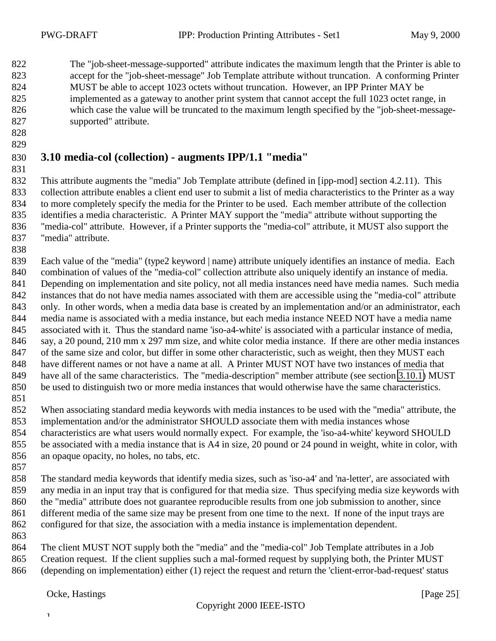<span id="page-24-0"></span> The "job-sheet-message-supported" attribute indicates the maximum length that the Printer is able to accept for the "job-sheet-message" Job Template attribute without truncation. A conforming Printer MUST be able to accept 1023 octets without truncation. However, an IPP Printer MAY be implemented as a gateway to another print system that cannot accept the full 1023 octet range, in which case the value will be truncated to the maximum length specified by the "job-sheet-message-supported" attribute.

 

#### **3.10 media-col (collection) - augments IPP/1.1 "media"**

 This attribute augments the "media" Job Template attribute (defined in [ipp-mod] section 4.2.11). This collection attribute enables a client end user to submit a list of media characteristics to the Printer as a way to more completely specify the media for the Printer to be used. Each member attribute of the collection identifies a media characteristic. A Printer MAY support the "media" attribute without supporting the "media-col" attribute. However, if a Printer supports the "media-col" attribute, it MUST also support the "media" attribute.

839 Each value of the "media" (type2 keyword | name) attribute uniquely identifies an instance of media. Each combination of values of the "media-col" collection attribute also uniquely identify an instance of media. Depending on implementation and site policy, not all media instances need have media names. Such media instances that do not have media names associated with them are accessible using the "media-col" attribute only. In other words, when a media data base is created by an implementation and/or an administrator, each media name is associated with a media instance, but each media instance NEED NOT have a media name associated with it. Thus the standard name 'iso-a4-white' is associated with a particular instance of media, say, a 20 pound, 210 mm x 297 mm size, and white color media instance. If there are other media instances of the same size and color, but differ in some other characteristic, such as weight, then they MUST each have different names or not have a name at all. A Printer MUST NOT have two instances of media that have all of the same characteristics. The "media-description" member attribute (see section [3.10.1\)](#page-25-0) MUST be used to distinguish two or more media instances that would otherwise have the same characteristics.

 When associating standard media keywords with media instances to be used with the "media" attribute, the implementation and/or the administrator SHOULD associate them with media instances whose characteristics are what users would normally expect. For example, the 'iso-a4-white' keyword SHOULD be associated with a media instance that is A4 in size, 20 pound or 24 pound in weight, white in color, with an opaque opacity, no holes, no tabs, etc.

 The standard media keywords that identify media sizes, such as 'iso-a4' and 'na-letter', are associated with any media in an input tray that is configured for that media size. Thus specifying media size keywords with the "media" attribute does not guarantee reproducible results from one job submission to another, since different media of the same size may be present from one time to the next. If none of the input trays are configured for that size, the association with a media instance is implementation dependent.

 The client MUST NOT supply both the "media" and the "media-col" Job Template attributes in a Job Creation request. If the client supplies such a mal-formed request by supplying both, the Printer MUST (depending on implementation) either (1) reject the request and return the 'client-error-bad-request' status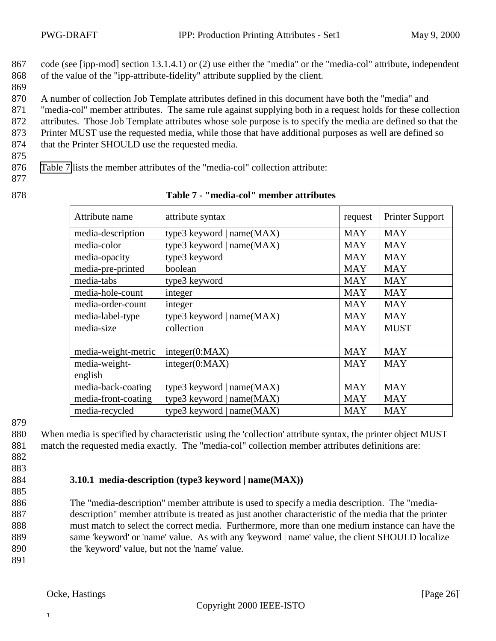- <span id="page-25-0"></span>867 code (see [ipp-mod] section 13.1.4.1) or (2) use either the "media" or the "media-col" attribute, independent 868 of the value of the "ipp-attribute-fidelity" attribute supplied by the client.
- 869

870 A number of collection Job Template attributes defined in this document have both the "media" and

871 "media-col" member attributes. The same rule against supplying both in a request holds for these collection

872 attributes. Those Job Template attributes whose sole purpose is to specify the media are defined so that the

873 Printer MUST use the requested media, while those that have additional purposes as well are defined so

874 that the Printer SHOULD use the requested media.

875

876 Table 7 lists the member attributes of the "media-col" collection attribute:

- 877
- 

| 878 |  | Table 7 - "media-col" member attributes |
|-----|--|-----------------------------------------|
|     |  |                                         |

| Attribute name      | attribute syntax            | request    | <b>Printer Support</b> |
|---------------------|-----------------------------|------------|------------------------|
| media-description   | type3 keyword   name(MAX)   | <b>MAY</b> | <b>MAY</b>             |
| media-color         | type3 keyword   name(MAX)   | <b>MAY</b> | <b>MAY</b>             |
| media-opacity       | type3 keyword               | <b>MAY</b> | <b>MAY</b>             |
| media-pre-printed   | boolean                     | <b>MAY</b> | <b>MAY</b>             |
| media-tabs          | type3 keyword               | <b>MAY</b> | <b>MAY</b>             |
| media-hole-count    | integer                     | <b>MAY</b> | <b>MAY</b>             |
| media-order-count   | integer                     | <b>MAY</b> | <b>MAY</b>             |
| media-label-type    | type3 keyword   name(MAX)   | <b>MAY</b> | <b>MAY</b>             |
| media-size          | collection                  | <b>MAY</b> | <b>MUST</b>            |
|                     |                             |            |                        |
| media-weight-metric | integer(0:MAX)              | <b>MAY</b> | <b>MAY</b>             |
| media-weight-       | integer(0:MAX)              | <b>MAY</b> | <b>MAY</b>             |
| english             |                             |            |                        |
| media-back-coating  | type3 keyword   $name(MAX)$ | <b>MAY</b> | <b>MAY</b>             |
| media-front-coating | type3 keyword   name(MAX)   | <b>MAY</b> | <b>MAY</b>             |
| media-recycled      | type3 keyword   $name(MAX)$ | <b>MAY</b> | <b>MAY</b>             |

879

880 When media is specified by characteristic using the 'collection' attribute syntax, the printer object MUST 881 match the requested media exactly. The "media-col" collection member attributes definitions are:

- 882
- 883
- 885

#### 884 **3.10.1 media-description (type3 keyword | name(MAX))**

 The "media-description" member attribute is used to specify a media description. The "media- description" member attribute is treated as just another characteristic of the media that the printer must match to select the correct media. Furthermore, more than one medium instance can have the same 'keyword' or 'name' value. As with any 'keyword | name' value, the client SHOULD localize the 'keyword' value, but not the 'name' value.

891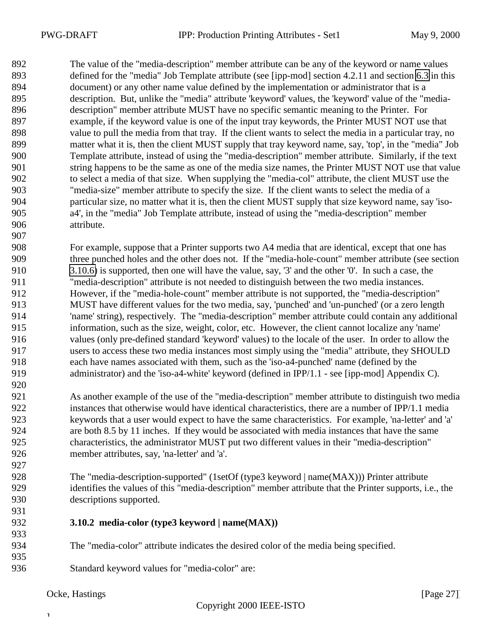<span id="page-26-0"></span> The value of the "media-description" member attribute can be any of the keyword or name values defined for the "media" Job Template attribute (see [ipp-mod] section 4.2.11 and section [6.3](#page-44-0) in this document) or any other name value defined by the implementation or administrator that is a description. But, unlike the "media" attribute 'keyword' values, the 'keyword' value of the "media- description" member attribute MUST have no specific semantic meaning to the Printer. For example, if the keyword value is one of the input tray keywords, the Printer MUST NOT use that value to pull the media from that tray. If the client wants to select the media in a particular tray, no matter what it is, then the client MUST supply that tray keyword name, say, 'top', in the "media" Job Template attribute, instead of using the "media-description" member attribute. Similarly, if the text string happens to be the same as one of the media size names, the Printer MUST NOT use that value to select a media of that size. When supplying the "media-col" attribute, the client MUST use the "media-size" member attribute to specify the size. If the client wants to select the media of a particular size, no matter what it is, then the client MUST supply that size keyword name, say 'iso- a4', in the "media" Job Template attribute, instead of using the "media-description" member attribute.

 For example, suppose that a Printer supports two A4 media that are identical, except that one has three punched holes and the other does not. If the "media-hole-count" member attribute (see section [3.10.6\)](#page-28-0) is supported, then one will have the value, say, '3' and the other '0'. In such a case, the "media-description" attribute is not needed to distinguish between the two media instances. However, if the "media-hole-count" member attribute is not supported, the "media-description" MUST have different values for the two media, say, 'punched' and 'un-punched' (or a zero length 'name' string), respectively. The "media-description" member attribute could contain any additional information, such as the size, weight, color, etc. However, the client cannot localize any 'name' values (only pre-defined standard 'keyword' values) to the locale of the user. In order to allow the users to access these two media instances most simply using the "media" attribute, they SHOULD each have names associated with them, such as the 'iso-a4-punched' name (defined by the 919 administrator) and the 'iso-a4-white' keyword (defined in IPP/1.1 - see [ipp-mod] Appendix C).

- As another example of the use of the "media-description" member attribute to distinguish two media instances that otherwise would have identical characteristics, there are a number of IPP/1.1 media keywords that a user would expect to have the same characteristics. For example, 'na-letter' and 'a' are both 8.5 by 11 inches. If they would be associated with media instances that have the same characteristics, the administrator MUST put two different values in their "media-description" member attributes, say, 'na-letter' and 'a'.
- 928 The "media-description-supported" (1setOf (type3 keyword | name(MAX))) Printer attribute identifies the values of this "media-description" member attribute that the Printer supports, i.e., the descriptions supported.
- **3.10.2 media-color (type3 keyword | name(MAX))**
- The "media-color" attribute indicates the desired color of the media being specified.
- Standard keyword values for "media-color" are: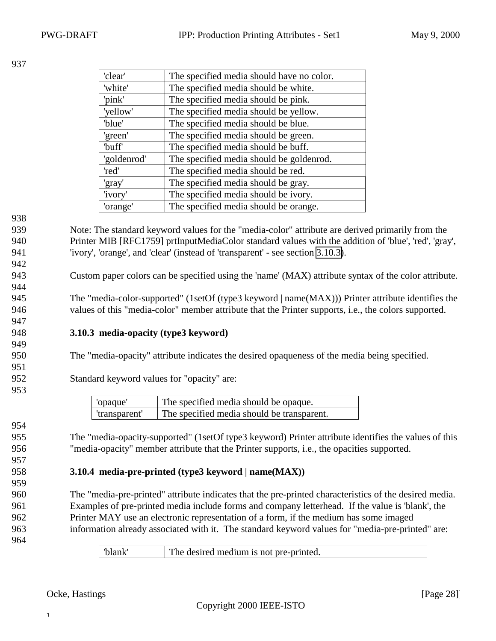<span id="page-27-0"></span>

| 'clear'     | The specified media should have no color. |
|-------------|-------------------------------------------|
| 'white'     | The specified media should be white.      |
| 'pink'      | The specified media should be pink.       |
| 'yellow'    | The specified media should be yellow.     |
| 'blue'      | The specified media should be blue.       |
| 'green'     | The specified media should be green.      |
| 'buff'      | The specified media should be buff.       |
| 'goldenrod' | The specified media should be goldenrod.  |
| 'red'       | The specified media should be red.        |
| 'gray'      | The specified media should be gray.       |
| 'ivory'     | The specified media should be ivory.      |
| 'orange'    | The specified media should be orange.     |

938

942

944

947

949

951

953

954

957

959

939 Note: The standard keyword values for the "media-color" attribute are derived primarily from the 940 Printer MIB [RFC1759] prtInputMediaColor standard values with the addition of 'blue', 'red', 'gray', 941 'ivory', 'orange', and 'clear' (instead of 'transparent' - see section 3.10.3).

943 Custom paper colors can be specified using the 'name' (MAX) attribute syntax of the color attribute.

945 The "media-color-supported" (1setOf (type3 keyword | name(MAX))) Printer attribute identifies the 946 values of this "media-color" member attribute that the Printer supports, i.e., the colors supported.

#### 948 **3.10.3 media-opacity (type3 keyword)**

950 The "media-opacity" attribute indicates the desired opaqueness of the media being specified.

952 Standard keyword values for "opacity" are:

| 'opaque'                                                    | The specified media should be opaque. |
|-------------------------------------------------------------|---------------------------------------|
| The specified media should be transparent.<br>'transparent' |                                       |

955 The "media-opacity-supported" (1setOf type3 keyword) Printer attribute identifies the values of this 956 "media-opacity" member attribute that the Printer supports, i.e., the opacities supported.

#### 958 **3.10.4 media-pre-printed (type3 keyword | name(MAX))**

 The "media-pre-printed" attribute indicates that the pre-printed characteristics of the desired media. Examples of pre-printed media include forms and company letterhead. If the value is 'blank', the Printer MAY use an electronic representation of a form, if the medium has some imaged information already associated with it. The standard keyword values for "media-pre-printed" are:

964

'blank' The desired medium is not pre-printed.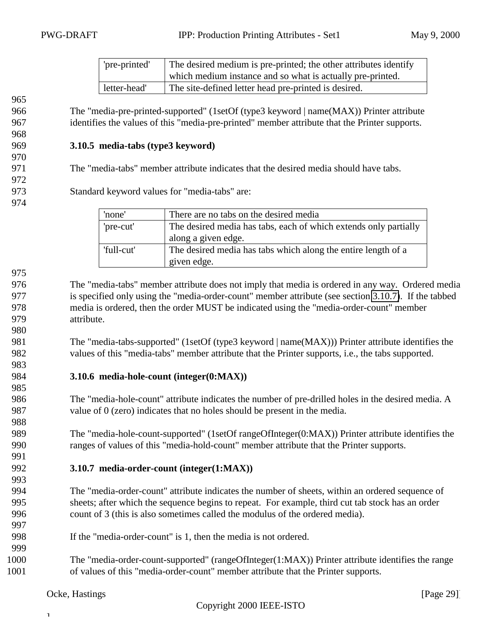| 'pre-printed' | The desired medium is pre-printed; the other attributes identify<br>which medium instance and so what is actually pre-printed. |
|---------------|--------------------------------------------------------------------------------------------------------------------------------|
| letter-head'  | The site-defined letter head pre-printed is desired.                                                                           |

<span id="page-28-0"></span> The "media-pre-printed-supported" (1setOf (type3 keyword | name(MAX)) Printer attribute identifies the values of this "media-pre-printed" member attribute that the Printer supports.

#### **3.10.5 media-tabs (type3 keyword)**

The "media-tabs" member attribute indicates that the desired media should have tabs.

- Standard keyword values for "media-tabs" are:
- 

| 'none'     | There are no tabs on the desired media                           |
|------------|------------------------------------------------------------------|
| 'pre-cut'  | The desired media has tabs, each of which extends only partially |
|            | along a given edge.                                              |
| 'full-cut' | The desired media has tabs which along the entire length of a    |
|            | given edge.                                                      |

 The "media-tabs" member attribute does not imply that media is ordered in any way. Ordered media is specified only using the "media-order-count" member attribute (see section 3.10.7). If the tabbed media is ordered, then the order MUST be indicated using the "media-order-count" member attribute.

981 The "media-tabs-supported" (1setOf (type3 keyword | name(MAX))) Printer attribute identifies the values of this "media-tabs" member attribute that the Printer supports, i.e., the tabs supported.

#### **3.10.6 media-hole-count (integer(0:MAX))**

 The "media-hole-count" attribute indicates the number of pre-drilled holes in the desired media. A value of 0 (zero) indicates that no holes should be present in the media.

 The "media-hole-count-supported" (1setOf rangeOfInteger(0:MAX)) Printer attribute identifies the ranges of values of this "media-hold-count" member attribute that the Printer supports.

#### **3.10.7 media-order-count (integer(1:MAX))**

 The "media-order-count" attribute indicates the number of sheets, within an ordered sequence of sheets; after which the sequence begins to repeat. For example, third cut tab stock has an order count of 3 (this is also sometimes called the modulus of the ordered media).

- If the "media-order-count" is 1, then the media is not ordered.
- The "media-order-count-supported" (rangeOfInteger(1:MAX)) Printer attribute identifies the range of values of this "media-order-count" member attribute that the Printer supports.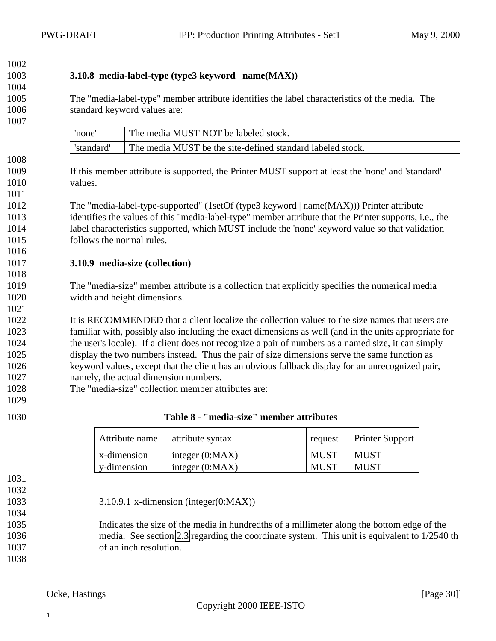### **3.10.8 media-label-type (type3 keyword | name(MAX))**

 The "media-label-type" member attribute identifies the label characteristics of the media. The standard keyword values are:

<span id="page-29-0"></span>

| none      | The media MUST NOT be labeled stock.                       |
|-----------|------------------------------------------------------------|
| 'standard | The media MUST be the site-defined standard labeled stock. |

 If this member attribute is supported, the Printer MUST support at least the 'none' and 'standard' values.

 The "media-label-type-supported" (1setOf (type3 keyword | name(MAX))) Printer attribute identifies the values of this "media-label-type" member attribute that the Printer supports, i.e., the label characteristics supported, which MUST include the 'none' keyword value so that validation follows the normal rules.

#### **3.10.9 media-size (collection)**

 The "media-size" member attribute is a collection that explicitly specifies the numerical media width and height dimensions.

 It is RECOMMENDED that a client localize the collection values to the size names that users are familiar with, possibly also including the exact dimensions as well (and in the units appropriate for the user's locale). If a client does not recognize a pair of numbers as a named size, it can simply display the two numbers instead. Thus the pair of size dimensions serve the same function as keyword values, except that the client has an obvious fallback display for an unrecognized pair, namely, the actual dimension numbers.

- The "media-size" collection member attributes are:
- 

| Attribute name | attribute syntax  | request     | <b>Printer Support</b> |
|----------------|-------------------|-------------|------------------------|
| x-dimension    | integer $(0:MAX)$ | <b>MUST</b> | MUST                   |
| y-dimension    | integer $(0:MAX)$ | <b>MUST</b> | MUST                   |

- 
- 3.10.9.1 x-dimension (integer(0:MAX))
- 

 Indicates the size of the media in hundredths of a millimeter along the bottom edge of the media. See section [2.3](#page-7-0) regarding the coordinate system. This unit is equivalent to 1/2540 th of an inch resolution.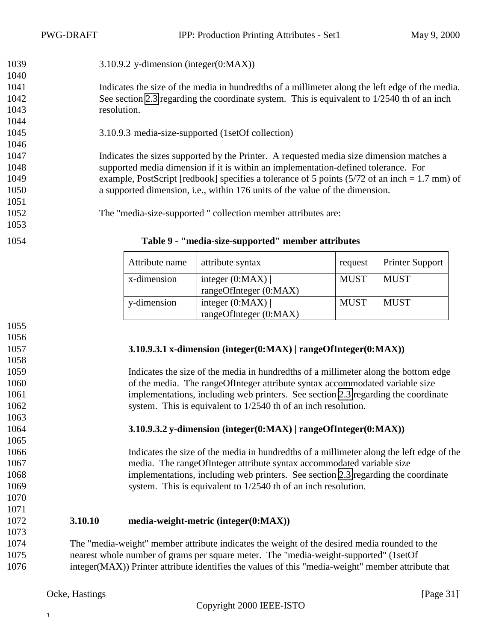<span id="page-30-0"></span>

| 1039 | $3.10.9.2$ y-dimension (integer(0:MAX))                                                                         |
|------|-----------------------------------------------------------------------------------------------------------------|
| 1040 |                                                                                                                 |
| 1041 | Indicates the size of the media in hundredths of a millimeter along the left edge of the media.                 |
| 1042 | See section 2.3 regarding the coordinate system. This is equivalent to 1/2540 th of an inch                     |
| 1043 | resolution.                                                                                                     |
| 1044 |                                                                                                                 |
| 1045 | 3.10.9.3 media-size-supported (1setOf collection)                                                               |
| 1046 |                                                                                                                 |
| 1047 | Indicates the sizes supported by the Printer. A requested media size dimension matches a                        |
| 1048 | supported media dimension if it is within an implementation-defined tolerance. For                              |
| 1049 | example, PostScript [redbook] specifies a tolerance of 5 points $(5/72 \text{ of an inch} = 1.7 \text{ mm})$ of |
| 1050 | a supported dimension, i.e., within 176 units of the value of the dimension.                                    |
| 1051 |                                                                                                                 |
| 1052 | The "media-size-supported" collection member attributes are:                                                    |
| 1053 |                                                                                                                 |
| 1054 | Table 9 - "media-size-supported" member attributes                                                              |

| Attribute name | attribute syntax                            | request     | <b>Printer Support</b> |
|----------------|---------------------------------------------|-------------|------------------------|
| x-dimension    | integer $(0:MAX)$<br>rangeOfInteger (0:MAX) | <b>MUST</b> | <b>MUST</b>            |
| y-dimension    | integer $(0:MAX)$<br>rangeOfInteger (0:MAX) | <b>MUST</b> | MUST                   |

 

#### **3.10.9.3.1 x-dimension (integer(0:MAX) | rangeOfInteger(0:MAX))**

 Indicates the size of the media in hundredths of a millimeter along the bottom edge of the media. The rangeOfInteger attribute syntax accommodated variable size implementations, including web printers. See section [2.3](#page-7-0) regarding the coordinate 1062 system. This is equivalent to  $1/2540$  th of an inch resolution.

#### **3.10.9.3.2 y-dimension (integer(0:MAX) | rangeOfInteger(0:MAX))**

 Indicates the size of the media in hundredths of a millimeter along the left edge of the media. The rangeOfInteger attribute syntax accommodated variable size implementations, including web printers. See section [2.3](#page-7-0) regarding the coordinate 1069 system. This is equivalent to 1/2540 th of an inch resolution.

#### **3.10.10 media-weight-metric (integer(0:MAX))**

 The "media-weight" member attribute indicates the weight of the desired media rounded to the nearest whole number of grams per square meter. The "media-weight-supported" (1setOf integer(MAX)) Printer attribute identifies the values of this "media-weight" member attribute that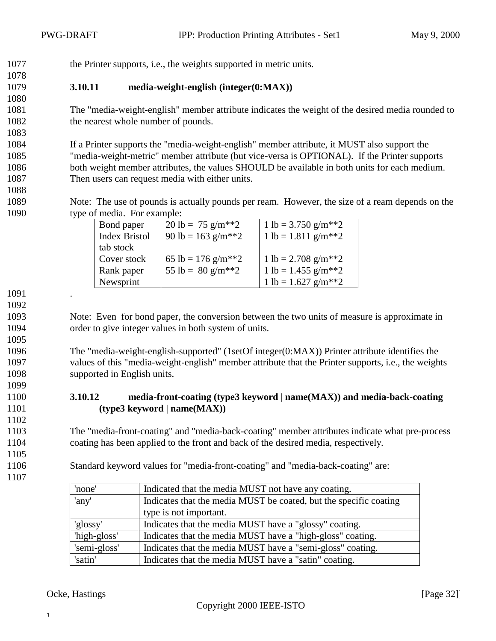<span id="page-31-0"></span>the Printer supports, i.e., the weights supported in metric units.

#### **3.10.11 media-weight-english (integer(0:MAX))**

 The "media-weight-english" member attribute indicates the weight of the desired media rounded to 1082 the nearest whole number of pounds.

 If a Printer supports the "media-weight-english" member attribute, it MUST also support the "media-weight-metric" member attribute (but vice-versa is OPTIONAL). If the Printer supports both weight member attributes, the values SHOULD be available in both units for each medium. Then users can request media with either units.

 Note: The use of pounds is actually pounds per ream. However, the size of a ream depends on the type of media. For example:

| Bond paper           | 20 lb = 75 g/m <sup>**</sup> 2    | 1 lb = 3.750 g/m <sup>**</sup> 2   |
|----------------------|-----------------------------------|------------------------------------|
| <b>Index Bristol</b> | 90 lb = $163$ g/m <sup>**</sup> 2 | $1 lb = 1.811 g/m**2$              |
| tab stock            |                                   |                                    |
| Cover stock          | 65 lb = 176 g/m <sup>**</sup> 2   | 1 lb = 2.708 g/m <sup>**</sup> 2   |
| Rank paper           | 55 lb = $80 \text{ g/m}^{**2}$    | $1 lb = 1.455 g/m**2$              |
| Newsprint            |                                   | 1 lb = $1.627$ g/m <sup>**</sup> 2 |

 . 

 Note: Even for bond paper, the conversion between the two units of measure is approximate in order to give integer values in both system of units.

 The "media-weight-english-supported" (1setOf integer(0:MAX)) Printer attribute identifies the values of this "media-weight-english" member attribute that the Printer supports, i.e., the weights supported in English units.

#### **3.10.12 media-front-coating (type3 keyword | name(MAX)) and media-back-coating (type3 keyword | name(MAX))**

 The "media-front-coating" and "media-back-coating" member attributes indicate what pre-process coating has been applied to the front and back of the desired media, respectively.

Standard keyword values for "media-front-coating" and "media-back-coating" are:

| 'none'       | Indicated that the media MUST not have any coating.               |  |
|--------------|-------------------------------------------------------------------|--|
| 'any'        | Indicates that the media MUST be coated, but the specific coating |  |
|              | type is not important.                                            |  |
| 'glossy'     | Indicates that the media MUST have a "glossy" coating.            |  |
| 'high-gloss' | Indicates that the media MUST have a "high-gloss" coating.        |  |
| 'semi-gloss' | Indicates that the media MUST have a "semi-gloss" coating.        |  |
| 'satin'      | Indicates that the media MUST have a "satin" coating.             |  |

Ocke, Hastings [Page 32]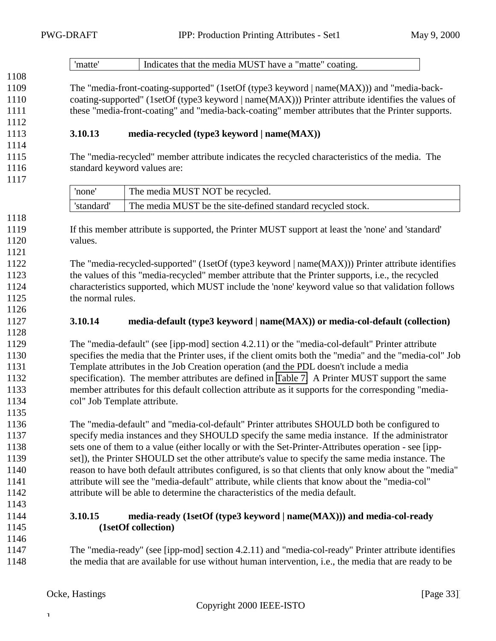<span id="page-32-0"></span>

|              | 'matte'                                                                                              | Indicates that the media MUST have a "matte" coating.                                                   |  |
|--------------|------------------------------------------------------------------------------------------------------|---------------------------------------------------------------------------------------------------------|--|
| 1108         |                                                                                                      |                                                                                                         |  |
| 1109         |                                                                                                      | The "media-front-coating-supported" (1setOf (type3 keyword   name(MAX))) and "media-back-               |  |
| 1110         | coating-supported" (1setOf (type3 keyword   name(MAX))) Printer attribute identifies the values of   |                                                                                                         |  |
| 1111         |                                                                                                      | these "media-front-coating" and "media-back-coating" member attributes that the Printer supports.       |  |
| 1112<br>1113 | 3.10.13                                                                                              | media-recycled (type3 keyword   name(MAX))                                                              |  |
| 1114         |                                                                                                      |                                                                                                         |  |
| 1115         |                                                                                                      | The "media-recycled" member attribute indicates the recycled characteristics of the media. The          |  |
| 1116         |                                                                                                      | standard keyword values are:                                                                            |  |
| 1117         |                                                                                                      |                                                                                                         |  |
|              | 'none'                                                                                               | The media MUST NOT be recycled.                                                                         |  |
|              | 'standard'                                                                                           | The media MUST be the site-defined standard recycled stock.                                             |  |
| 1118         |                                                                                                      |                                                                                                         |  |
| 1119         |                                                                                                      | If this member attribute is supported, the Printer MUST support at least the 'none' and 'standard'      |  |
| 1120         | values.                                                                                              |                                                                                                         |  |
| 1121         |                                                                                                      |                                                                                                         |  |
| 1122         |                                                                                                      | The "media-recycled-supported" (1setOf (type3 keyword   name(MAX))) Printer attribute identifies        |  |
| 1123         |                                                                                                      | the values of this "media-recycled" member attribute that the Printer supports, i.e., the recycled      |  |
| 1124         |                                                                                                      | characteristics supported, which MUST include the 'none' keyword value so that validation follows       |  |
| 1125         | the normal rules.                                                                                    |                                                                                                         |  |
| 1126         |                                                                                                      |                                                                                                         |  |
| 1127<br>1128 | 3.10.14                                                                                              | media-default (type3 keyword   name(MAX)) or media-col-default (collection)                             |  |
| 1129         |                                                                                                      | The "media-default" (see [ipp-mod] section 4.2.11) or the "media-col-default" Printer attribute         |  |
| 1130         |                                                                                                      | specifies the media that the Printer uses, if the client omits both the "media" and the "media-col" Job |  |
| 1131         |                                                                                                      | Template attributes in the Job Creation operation (and the PDL doesn't include a media                  |  |
| 1132         |                                                                                                      | specification). The member attributes are defined in Table 7. A Printer MUST support the same           |  |
| 1133         | member attributes for this default collection attribute as it supports for the corresponding "media- |                                                                                                         |  |
| 1134         | col" Job Template attribute.                                                                         |                                                                                                         |  |
| 1135         |                                                                                                      |                                                                                                         |  |
| 1136         |                                                                                                      | The "media-default" and "media-col-default" Printer attributes SHOULD both be configured to             |  |
| 1137         |                                                                                                      | specify media instances and they SHOULD specify the same media instance. If the administrator           |  |
| 1138         |                                                                                                      | sets one of them to a value (either locally or with the Set-Printer-Attributes operation - see [ipp-    |  |
| 1139         |                                                                                                      | set]), the Printer SHOULD set the other attribute's value to specify the same media instance. The       |  |
| 1140         |                                                                                                      | reason to have both default attributes configured, is so that clients that only know about the "media"  |  |
| 1141         |                                                                                                      | attribute will see the "media-default" attribute, while clients that know about the "media-col"         |  |
| 1142<br>1143 |                                                                                                      | attribute will be able to determine the characteristics of the media default.                           |  |
| 1144         | 3.10.15                                                                                              | media-ready (1setOf (type3 keyword   name(MAX))) and media-col-ready                                    |  |
| 1145         |                                                                                                      | (1setOf collection)                                                                                     |  |
| 1146         |                                                                                                      |                                                                                                         |  |
| 1147         |                                                                                                      | The "media-ready" (see [ipp-mod] section 4.2.11) and "media-col-ready" Printer attribute identifies     |  |
| 1148         |                                                                                                      | the media that are available for use without human intervention, i.e., the media that are ready to be   |  |
|              |                                                                                                      |                                                                                                         |  |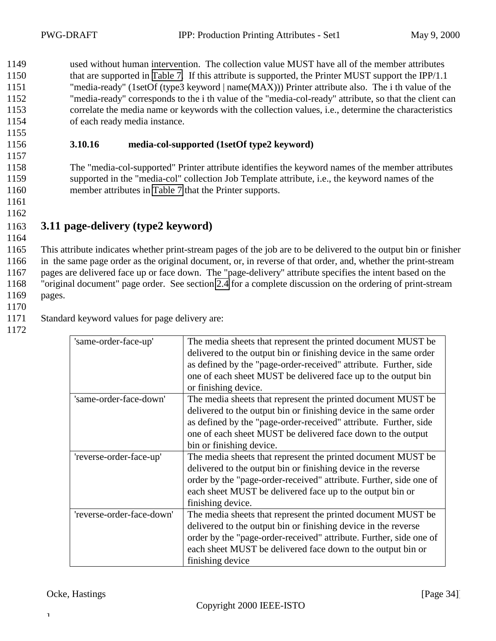<span id="page-33-0"></span> used without human intervention. The collection value MUST have all of the member attributes 1150 that are supported in [Table 7.](#page-25-0) If this attribute is supported, the Printer MUST support the IPP/1.1 "media-ready" (1setOf (type3 keyword | name(MAX))) Printer attribute also. The i th value of the "media-ready" corresponds to the i th value of the "media-col-ready" attribute, so that the client can correlate the media name or keywords with the collection values, i.e., determine the characteristics of each ready media instance.

#### 1156 **3.10.16 media-col-supported (1setOf type2 keyword)**

1158 The "media-col-supported" Printer attribute identifies the keyword names of the member attributes 1159 supported in the "media-col" collection Job Template attribute, i.e., the keyword names of the 1160 member attributes in [Table 7](#page-25-0) that the Printer supports.

1161 1162

1155

1157

## 1163 **3.11 page-delivery (type2 keyword)**

1164

 This attribute indicates whether print-stream pages of the job are to be delivered to the output bin or finisher in the same page order as the original document, or, in reverse of that order, and, whether the print-stream pages are delivered face up or face down. The "page-delivery" attribute specifies the intent based on the "original document" page order. See section [2.4](#page-8-0) for a complete discussion on the ordering of print-stream 1169 pages.

1170

1172

1171 Standard keyword values for page delivery are:

| 'same-order-face-up'      | The media sheets that represent the printed document MUST be<br>delivered to the output bin or finishing device in the same order<br>as defined by the "page-order-received" attribute. Further, side<br>one of each sheet MUST be delivered face up to the output bin                            |
|---------------------------|---------------------------------------------------------------------------------------------------------------------------------------------------------------------------------------------------------------------------------------------------------------------------------------------------|
|                           | or finishing device.                                                                                                                                                                                                                                                                              |
| 'same-order-face-down'    | The media sheets that represent the printed document MUST be.<br>delivered to the output bin or finishing device in the same order<br>as defined by the "page-order-received" attribute. Further, side<br>one of each sheet MUST be delivered face down to the output<br>bin or finishing device. |
| 'reverse-order-face-up'   | The media sheets that represent the printed document MUST be.<br>delivered to the output bin or finishing device in the reverse<br>order by the "page-order-received" attribute. Further, side one of<br>each sheet MUST be delivered face up to the output bin or<br>finishing device.           |
| 'reverse-order-face-down' | The media sheets that represent the printed document MUST be.<br>delivered to the output bin or finishing device in the reverse<br>order by the "page-order-received" attribute. Further, side one of<br>each sheet MUST be delivered face down to the output bin or<br>finishing device          |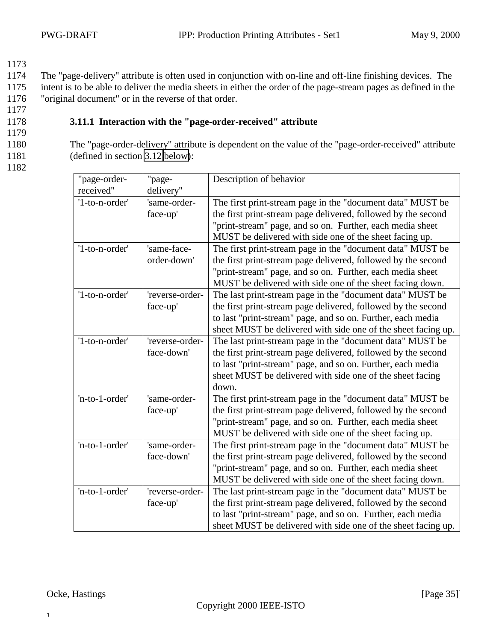<span id="page-34-0"></span>1174 The "page-delivery" attribute is often used in conjunction with on-line and off-line finishing devices. The 1175 intent is to be able to deliver the media sheets in either the order of the page-stream pages as defined in the 1176 "original document" or in the reverse of that order.

1177

### 1178 **3.11.1 Interaction with the "page-order-received" attribute**

1179

1180 The "page-order-delivery" attribute is dependent on the value of the "page-order-received" attribute 1181 (defined in section [3.12 below\)](#page-35-0):

1182

| "page-order-   | "page-          | Description of behavior                                       |  |
|----------------|-----------------|---------------------------------------------------------------|--|
| received"      | delivery"       |                                                               |  |
| '1-to-n-order' | 'same-order-    | The first print-stream page in the "document data" MUST be    |  |
|                | face-up'        | the first print-stream page delivered, followed by the second |  |
|                |                 | "print-stream" page, and so on. Further, each media sheet     |  |
|                |                 | MUST be delivered with side one of the sheet facing up.       |  |
| '1-to-n-order' | 'same-face-     | The first print-stream page in the "document data" MUST be    |  |
|                | order-down'     | the first print-stream page delivered, followed by the second |  |
|                |                 | "print-stream" page, and so on. Further, each media sheet     |  |
|                |                 | MUST be delivered with side one of the sheet facing down.     |  |
| '1-to-n-order' | 'reverse-order- | The last print-stream page in the "document data" MUST be     |  |
|                | face-up'        | the first print-stream page delivered, followed by the second |  |
|                |                 | to last "print-stream" page, and so on. Further, each media   |  |
|                |                 | sheet MUST be delivered with side one of the sheet facing up. |  |
| '1-to-n-order' | 'reverse-order- | The last print-stream page in the "document data" MUST be     |  |
|                | face-down'      | the first print-stream page delivered, followed by the second |  |
|                |                 | to last "print-stream" page, and so on. Further, each media   |  |
|                |                 | sheet MUST be delivered with side one of the sheet facing     |  |
|                |                 | down.                                                         |  |
| 'n-to-1-order' | 'same-order-    | The first print-stream page in the "document data" MUST be    |  |
|                | face-up'        | the first print-stream page delivered, followed by the second |  |
|                |                 | "print-stream" page, and so on. Further, each media sheet     |  |
|                |                 | MUST be delivered with side one of the sheet facing up.       |  |
| 'n-to-1-order' | 'same-order-    | The first print-stream page in the "document data" MUST be    |  |
|                | face-down'      | the first print-stream page delivered, followed by the second |  |
|                |                 | "print-stream" page, and so on. Further, each media sheet     |  |
|                |                 | MUST be delivered with side one of the sheet facing down.     |  |
| 'n-to-1-order' | 'reverse-order- | The last print-stream page in the "document data" MUST be     |  |
|                | face-up'        | the first print-stream page delivered, followed by the second |  |
|                |                 | to last "print-stream" page, and so on. Further, each media   |  |
|                |                 | sheet MUST be delivered with side one of the sheet facing up. |  |

 $\mathbf T$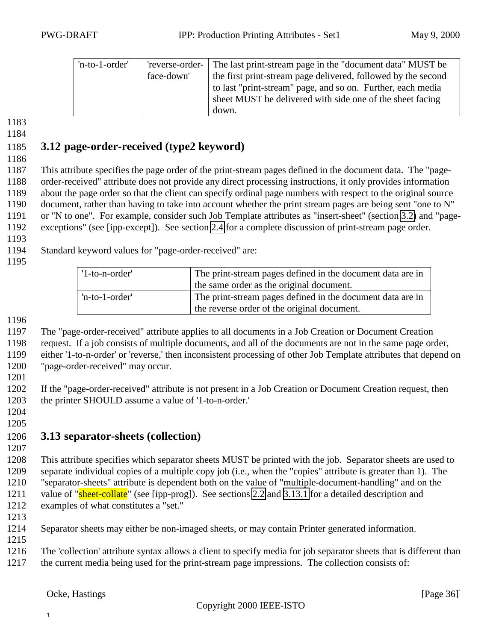<span id="page-35-0"></span>

| 'n-to-1-order' | face-down' | 'reverse-order- The last print-stream page in the "document data" MUST be<br>the first print-stream page delivered, followed by the second<br>to last "print-stream" page, and so on. Further, each media<br>sheet MUST be delivered with side one of the sheet facing |
|----------------|------------|------------------------------------------------------------------------------------------------------------------------------------------------------------------------------------------------------------------------------------------------------------------------|
|                |            | down.                                                                                                                                                                                                                                                                  |

## **3.12 page-order-received (type2 keyword)**

 This attribute specifies the page order of the print-stream pages defined in the document data. The "page- order-received" attribute does not provide any direct processing instructions, it only provides information about the page order so that the client can specify ordinal page numbers with respect to the original source document, rather than having to take into account whether the print stream pages are being sent "one to N" or "N to one". For example, consider such Job Template attributes as "insert-sheet" (section [3.2\)](#page-14-0) and "page-exceptions" (see [ipp-except]). See section [2.4](#page-8-0) for a complete discussion of print-stream page order.

Standard keyword values for "page-order-received" are:

| $'1$ -to-n-order' | The print-stream pages defined in the document data are in                                                |  |
|-------------------|-----------------------------------------------------------------------------------------------------------|--|
|                   | the same order as the original document.                                                                  |  |
| 'n-to-1-order'    | The print-stream pages defined in the document data are in<br>the reverse order of the original document. |  |
|                   |                                                                                                           |  |

The "page-order-received" attribute applies to all documents in a Job Creation or Document Creation

 request. If a job consists of multiple documents, and all of the documents are not in the same page order, either '1-to-n-order' or 'reverse,' then inconsistent processing of other Job Template attributes that depend on

"page-order-received" may occur.

 If the "page-order-received" attribute is not present in a Job Creation or Document Creation request, then the printer SHOULD assume a value of '1-to-n-order.'

 

## **3.13 separator-sheets (collection)**

 This attribute specifies which separator sheets MUST be printed with the job. Separator sheets are used to separate individual copies of a multiple copy job (i.e., when the "copies" attribute is greater than 1). The "separator-sheets" attribute is dependent both on the value of "multiple-document-handling" and on the 1211 value of "sheet-collate" (see [ipp-prog]). See sections [2.2](#page-7-0) and [3.13.1](#page-36-0) for a detailed description and examples of what constitutes a "set."

Separator sheets may either be non-imaged sheets, or may contain Printer generated information.

The 'collection' attribute syntax allows a client to specify media for job separator sheets that is different than

the current media being used for the print-stream page impressions. The collection consists of: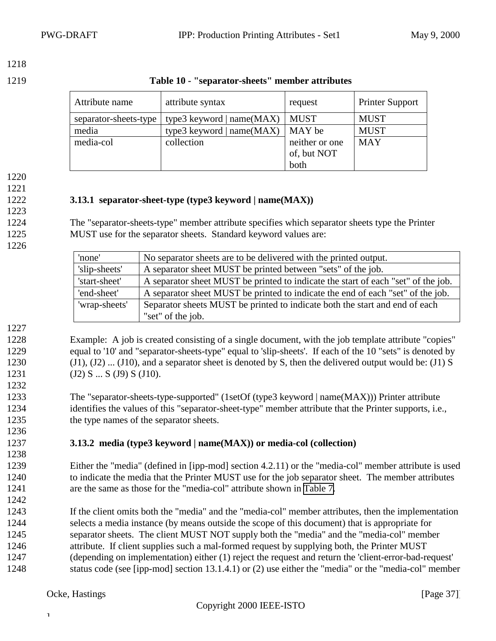<span id="page-36-0"></span>1219 **Table 10 - "separator-sheets" member attributes**

| Attribute name        | attribute syntax            | request        | <b>Printer Support</b> |
|-----------------------|-----------------------------|----------------|------------------------|
| separator-sheets-type | type3 keyword   $name(MAX)$ | <b>MUST</b>    | <b>MUST</b>            |
| media                 | type3 keyword   $name(MAX)$ | MAY be         | <b>MUST</b>            |
| media-col             | collection                  | neither or one | <b>MAY</b>             |
|                       |                             | of, but NOT    |                        |
|                       |                             | both           |                        |

1220

#### 1221

1223

### 1222 **3.13.1 separator-sheet-type (type3 keyword | name(MAX))**

1224 The "separator-sheets-type" member attribute specifies which separator sheets type the Printer 1225 MUST use for the separator sheets. Standard keyword values are:

1226

| 'none'        | No separator sheets are to be delivered with the printed output.                  |
|---------------|-----------------------------------------------------------------------------------|
| 'slip-sheets' | A separator sheet MUST be printed between "sets" of the job.                      |
| 'start-sheet' | A separator sheet MUST be printed to indicate the start of each "set" of the job. |
| 'end-sheet'   | A separator sheet MUST be printed to indicate the end of each "set" of the job.   |
| 'wrap-sheets' | Separator sheets MUST be printed to indicate both the start and end of each       |
|               | "set" of the job.                                                                 |

1227

1232

1236

1238

1242

1228 Example: A job is created consisting of a single document, with the job template attribute "copies" 1229 equal to '10' and "separator-sheets-type" equal to 'slip-sheets'. If each of the 10 "sets" is denoted by 1230 (J1), (J2) ... (J10), and a separator sheet is denoted by S, then the delivered output would be: (J1) S 1231 (J2) S ... S (J9) S (J10).

1233 The "separator-sheets-type-supported" (1setOf (type3 keyword | name(MAX))) Printer attribute 1234 identifies the values of this "separator-sheet-type" member attribute that the Printer supports, i.e., 1235 the type names of the separator sheets.

#### 1237 **3.13.2 media (type3 keyword | name(MAX)) or media-col (collection)**

1239 Either the "media" (defined in [ipp-mod] section 4.2.11) or the "media-col" member attribute is used 1240 to indicate the media that the Printer MUST use for the job separator sheet. The member attributes 1241 are the same as those for the "media-col" attribute shown in [Table 7.](#page-25-0)

 If the client omits both the "media" and the "media-col" member attributes, then the implementation selects a media instance (by means outside the scope of this document) that is appropriate for separator sheets. The client MUST NOT supply both the "media" and the "media-col" member attribute. If client supplies such a mal-formed request by supplying both, the Printer MUST (depending on implementation) either (1) reject the request and return the 'client-error-bad-request' status code (see [ipp-mod] section 13.1.4.1) or (2) use either the "media" or the "media-col" member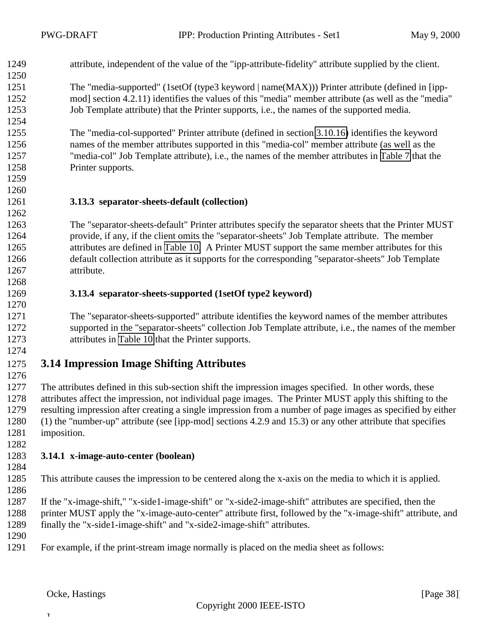<span id="page-37-0"></span>

| 1249 | attribute, independent of the value of the "ipp-attribute-fidelity" attribute supplied by the client. |
|------|-------------------------------------------------------------------------------------------------------|
| 1250 |                                                                                                       |

 The "media-supported" (1setOf (type3 keyword | name(MAX))) Printer attribute (defined in [ipp- mod] section 4.2.11) identifies the values of this "media" member attribute (as well as the "media" Job Template attribute) that the Printer supports, i.e., the names of the supported media.

 The "media-col-supported" Printer attribute (defined in section [3.10.16\)](#page-33-0) identifies the keyword names of the member attributes supported in this "media-col" member attribute (as well as the "media-col" Job Template attribute), i.e., the names of the member attributes in [Table 7](#page-25-0) that the Printer supports.

 

#### **3.13.3 separator-sheets-default (collection)**

 The "separator-sheets-default" Printer attributes specify the separator sheets that the Printer MUST provide, if any, if the client omits the "separator-sheets" Job Template attribute. The member attributes are defined in [Table 10.](#page-36-0) A Printer MUST support the same member attributes for this default collection attribute as it supports for the corresponding "separator-sheets" Job Template attribute.

- 
- 

#### **3.13.4 separator-sheets-supported (1setOf type2 keyword)**

 The "separator-sheets-supported" attribute identifies the keyword names of the member attributes supported in the "separator-sheets" collection Job Template attribute, i.e., the names of the member attributes in [Table 10](#page-36-0) that the Printer supports.

### **3.14 Impression Image Shifting Attributes**

 The attributes defined in this sub-section shift the impression images specified. In other words, these attributes affect the impression, not individual page images. The Printer MUST apply this shifting to the resulting impression after creating a single impression from a number of page images as specified by either (1) the "number-up" attribute (see [ipp-mod] sections 4.2.9 and 15.3) or any other attribute that specifies imposition.

#### **3.14.1 x-image-auto-center (boolean)**

This attribute causes the impression to be centered along the x-axis on the media to which it is applied.

 If the "x-image-shift," "x-side1-image-shift" or "x-side2-image-shift" attributes are specified, then the 1288 printer MUST apply the "x-image-auto-center" attribute first, followed by the "x-image-shift" attribute, and finally the "x-side1-image-shift" and "x-side2-image-shift" attributes.

- 
- For example, if the print-stream image normally is placed on the media sheet as follows: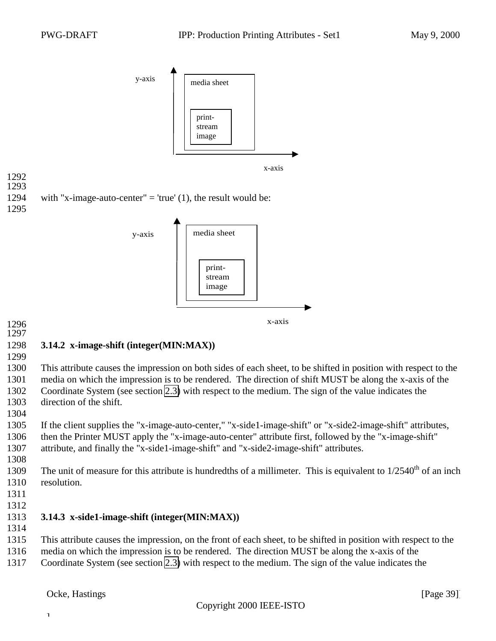<span id="page-38-0"></span>

#### **3.14.2 x-image-shift (integer(MIN:MAX))**

 This attribute causes the impression on both sides of each sheet, to be shifted in position with respect to the media on which the impression is to be rendered. The direction of shift MUST be along the x-axis of the Coordinate System (see section [2.3\)](#page-7-0) with respect to the medium. The sign of the value indicates the direction of the shift.

x-axis

 If the client supplies the "x-image-auto-center," "x-side1-image-shift" or "x-side2-image-shift" attributes, then the Printer MUST apply the "x-image-auto-center" attribute first, followed by the "x-image-shift" attribute, and finally the "x-side1-image-shift" and "x-side2-image-shift" attributes.

- 1309 The unit of measure for this attribute is hundredths of a millimeter. This is equivalent to  $1/2540<sup>th</sup>$  of an inch resolution.
- 

#### **3.14.3 x-side1-image-shift (integer(MIN:MAX))**

- This attribute causes the impression, on the front of each sheet, to be shifted in position with respect to the
	- media on which the impression is to be rendered. The direction MUST be along the x-axis of the
	- Coordinate System (see section [2.3\)](#page-7-0) with respect to the medium. The sign of the value indicates the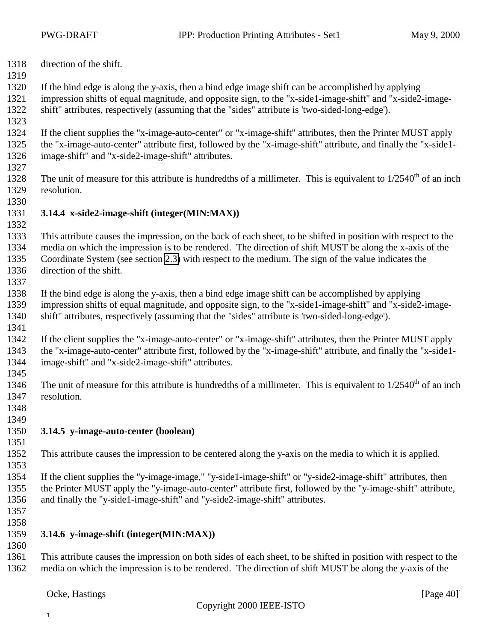- <span id="page-39-0"></span>direction of the shift.
- 
- If the bind edge is along the y-axis, then a bind edge image shift can be accomplished by applying
- impression shifts of equal magnitude, and opposite sign, to the "x-side1-image-shift" and "x-side2-image-shift" attributes, respectively (assuming that the "sides" attribute is 'two-sided-long-edge').
- 
- If the client supplies the "x-image-auto-center" or "x-image-shift" attributes, then the Printer MUST apply the "x-image-auto-center" attribute first, followed by the "x-image-shift" attribute, and finally the "x-side1- image-shift" and "x-side2-image-shift" attributes.
- 
- 1328 The unit of measure for this attribute is hundredths of a millimeter. This is equivalent to  $1/2540<sup>th</sup>$  of an inch resolution.
- 

#### **3.14.4 x-side2-image-shift (integer(MIN:MAX))**

 This attribute causes the impression, on the back of each sheet, to be shifted in position with respect to the media on which the impression is to be rendered. The direction of shift MUST be along the x-axis of the Coordinate System (see section [2.3\)](#page-7-0) with respect to the medium. The sign of the value indicates the direction of the shift.

 If the bind edge is along the y-axis, then a bind edge image shift can be accomplished by applying impression shifts of equal magnitude, and opposite sign, to the "x-side1-image-shift" and "x-side2-image-shift" attributes, respectively (assuming that the "sides" attribute is 'two-sided-long-edge').

- If the client supplies the "x-image-auto-center" or "x-image-shift" attributes, then the Printer MUST apply the "x-image-auto-center" attribute first, followed by the "x-image-shift" attribute, and finally the "x-side1- image-shift" and "x-side2-image-shift" attributes.
- 

1346 The unit of measure for this attribute is hundredths of a millimeter. This is equivalent to  $1/2540<sup>th</sup>$  of an inch resolution.

 

#### **3.14.5 y-image-auto-center (boolean)**

This attribute causes the impression to be centered along the y-axis on the media to which it is applied.

 If the client supplies the "y-image-image," "y-side1-image-shift" or "y-side2-image-shift" attributes, then the Printer MUST apply the "y-image-auto-center" attribute first, followed by the "y-image-shift" attribute, and finally the "y-side1-image-shift" and "y-side2-image-shift" attributes.

 

### **3.14.6 y-image-shift (integer(MIN:MAX))**

 This attribute causes the impression on both sides of each sheet, to be shifted in position with respect to the media on which the impression is to be rendered. The direction of shift MUST be along the y-axis of the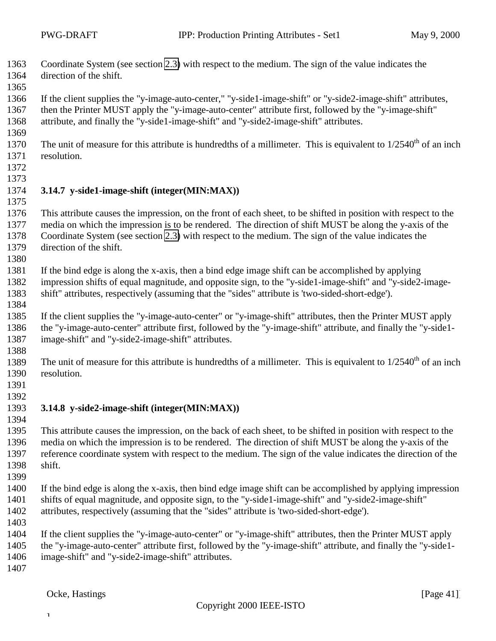<span id="page-40-0"></span> Coordinate System (see section [2.3\)](#page-7-0) with respect to the medium. The sign of the value indicates the direction of the shift.

 If the client supplies the "y-image-auto-center," "y-side1-image-shift" or "y-side2-image-shift" attributes, then the Printer MUST apply the "y-image-auto-center" attribute first, followed by the "y-image-shift" attribute, and finally the "y-side1-image-shift" and "y-side2-image-shift" attributes.

- 
- 1370 The unit of measure for this attribute is hundredths of a millimeter. This is equivalent to  $1/2540<sup>th</sup>$  of an inch resolution.
- 

#### **3.14.7 y-side1-image-shift (integer(MIN:MAX))**

 This attribute causes the impression, on the front of each sheet, to be shifted in position with respect to the media on which the impression is to be rendered. The direction of shift MUST be along the y-axis of the Coordinate System (see section [2.3\)](#page-7-0) with respect to the medium. The sign of the value indicates the direction of the shift.

 If the bind edge is along the x-axis, then a bind edge image shift can be accomplished by applying impression shifts of equal magnitude, and opposite sign, to the "y-side1-image-shift" and "y-side2-image-shift" attributes, respectively (assuming that the "sides" attribute is 'two-sided-short-edge').

 If the client supplies the "y-image-auto-center" or "y-image-shift" attributes, then the Printer MUST apply the "y-image-auto-center" attribute first, followed by the "y-image-shift" attribute, and finally the "y-side1- image-shift" and "y-side2-image-shift" attributes.

1389 The unit of measure for this attribute is hundredths of a millimeter. This is equivalent to  $1/2540<sup>th</sup>$  of an inch resolution.

- 
- 

#### **3.14.8 y-side2-image-shift (integer(MIN:MAX))**

 This attribute causes the impression, on the back of each sheet, to be shifted in position with respect to the media on which the impression is to be rendered. The direction of shift MUST be along the y-axis of the reference coordinate system with respect to the medium. The sign of the value indicates the direction of the shift.

 If the bind edge is along the x-axis, then bind edge image shift can be accomplished by applying impression shifts of equal magnitude, and opposite sign, to the "y-side1-image-shift" and "y-side2-image-shift" attributes, respectively (assuming that the "sides" attribute is 'two-sided-short-edge').

 If the client supplies the "y-image-auto-center" or "y-image-shift" attributes, then the Printer MUST apply the "y-image-auto-center" attribute first, followed by the "y-image-shift" attribute, and finally the "y-side1- image-shift" and "y-side2-image-shift" attributes.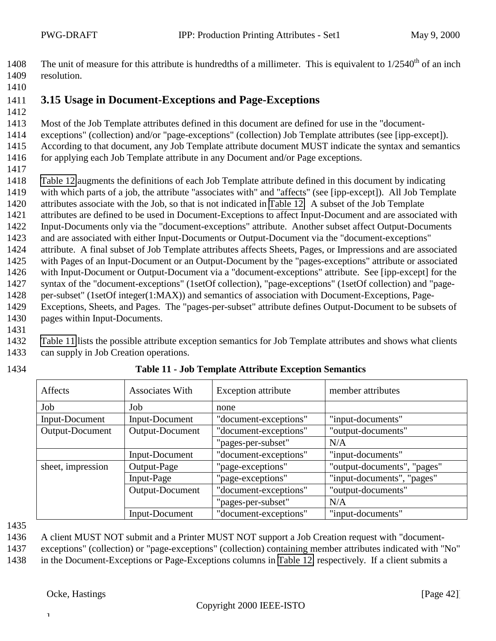<span id="page-41-0"></span>1408 The unit of measure for this attribute is hundredths of a millimeter. This is equivalent to  $1/2540<sup>th</sup>$  of an inch resolution.

- **3.15 Usage in Document-Exceptions and Page-Exceptions**
- Most of the Job Template attributes defined in this document are defined for use in the "document-

exceptions" (collection) and/or "page-exceptions" (collection) Job Template attributes (see [ipp-except]).

 According to that document, any Job Template attribute document MUST indicate the syntax and semantics for applying each Job Template attribute in any Document and/or Page exceptions.

 [Table 12](#page-42-0) augments the definitions of each Job Template attribute defined in this document by indicating with which parts of a job, the attribute "associates with" and "affects" (see [ipp-except]). All Job Template attributes associate with the Job, so that is not indicated in [Table 12.](#page-42-0) A subset of the Job Template

attributes are defined to be used in Document-Exceptions to affect Input-Document and are associated with

- Input-Documents only via the "document-exceptions" attribute. Another subset affect Output-Documents
- and are associated with either Input-Documents or Output-Document via the "document-exceptions"
- attribute. A final subset of Job Template attributes affects Sheets, Pages, or Impressions and are associated

with Pages of an Input-Document or an Output-Document by the "pages-exceptions" attribute or associated

with Input-Document or Output-Document via a "document-exceptions" attribute. See [ipp-except] for the

syntax of the "document-exceptions" (1setOf collection), "page-exceptions" (1setOf collection) and "page-

 per-subset" (1setOf integer(1:MAX)) and semantics of association with Document-Exceptions, Page-Exceptions, Sheets, and Pages. The "pages-per-subset" attribute defines Output-Document to be subsets of

pages within Input-Documents.

 Table 11 lists the possible attribute exception semantics for Job Template attributes and shows what clients can supply in Job Creation operations.

Affects Associates With Exception attribute member attributes Job | Job | none Input-Document Input-Document "document-exceptions" "input-documents" Output-Document Output-Document "document-exceptions" "output-documents" "pages-per-subset" N/A Input-Document "document-exceptions" "input-documents" Output-Page "page-exceptions" "output-documents", "pages" Input-Page "page-exceptions" "input-documents", "pages" Output-Document Tocument-exceptions" "pages-per-subset" N/A<br>"document-exceptions" "input-documents" sheet, impression Input-Document | "document-exceptions"

### **Table 11 - Job Template Attribute Exception Semantics**

A client MUST NOT submit and a Printer MUST NOT support a Job Creation request with "document-

exceptions" (collection) or "page-exceptions" (collection) containing member attributes indicated with "No"

in the Document-Exceptions or Page-Exceptions columns in [Table 12,](#page-42-0) respectively. If a client submits a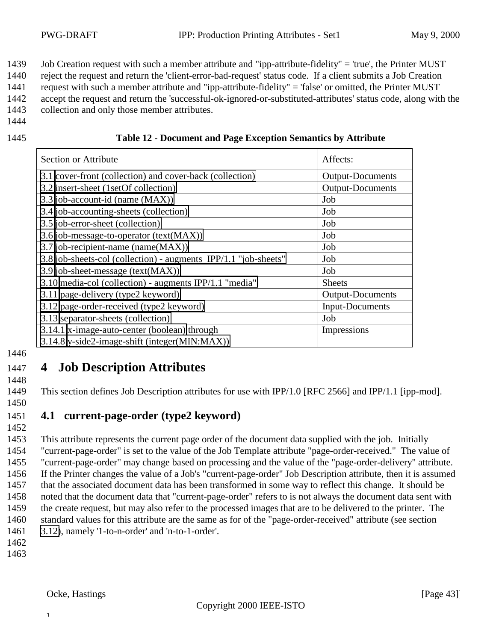<span id="page-42-0"></span>1439 Job Creation request with such a member attribute and "ipp-attribute-fidelity" = 'true', the Printer MUST

1440 reject the request and return the 'client-error-bad-request' status code. If a client submits a Job Creation

1441 request with such a member attribute and "ipp-attribute-fidelity" = 'false' or omitted, the Printer MUST 1442 accept the request and return the 'successful-ok-ignored-or-substituted-attributes' status code, along with the

1443 collection and only those member attributes.

1444

| 1445 |  | <b>Table 12 - Document and Page Exception Semantics by Attribute</b> |
|------|--|----------------------------------------------------------------------|
|      |  |                                                                      |

| Section or Attribute                                            | Affects:                |
|-----------------------------------------------------------------|-------------------------|
| 3.1 cover-front (collection) and cover-back (collection)        | <b>Output-Documents</b> |
| 3.2 insert-sheet (1setOf collection)                            | <b>Output-Documents</b> |
| 3.3 job-account-id (name (MAX))                                 | Job                     |
| 3.4 job-accounting-sheets (collection)                          | Job                     |
| 3.5 job-error-sheet (collection)                                | Job                     |
| 3.6 job-message-to-operator (text(MAX))                         | Job                     |
| 3.7 job-recipient-name (name(MAX))                              | Job                     |
| 3.8 job-sheets-col (collection) - augments IPP/1.1 "job-sheets" | Job                     |
| 3.9 job-sheet-message (text(MAX))                               | Job                     |
| 3.10 media-col (collection) - augments IPP/1.1 "media"          | <b>Sheets</b>           |
| 3.11 page-delivery (type2 keyword)                              | Output-Documents        |
| 3.12 page-order-received (type2 keyword)                        | <b>Input-Documents</b>  |
| 3.13 separator-sheets (collection)                              | Job                     |
| 3.14.1 x-image-auto-center (boolean) through                    | Impressions             |
| 3.14.8 y-side2-image-shift (integer(MIN:MAX))                   |                         |

1446

## 1447 **4 Job Description Attributes**

1448

1449 This section defines Job Description attributes for use with IPP/1.0 [RFC 2566] and IPP/1.1 [ipp-mod].

1450

#### 1451 **4.1 current-page-order (type2 keyword)** 1452

 This attribute represents the current page order of the document data supplied with the job. Initially "current-page-order" is set to the value of the Job Template attribute "page-order-received." The value of "current-page-order" may change based on processing and the value of the "page-order-delivery" attribute. If the Printer changes the value of a Job's "current-page-order" Job Description attribute, then it is assumed that the associated document data has been transformed in some way to reflect this change. It should be noted that the document data that "current-page-order" refers to is not always the document data sent with the create request, but may also refer to the processed images that are to be delivered to the printer. The standard values for this attribute are the same as for of the "page-order-received" attribute (see section [3.12\)](#page-35-0), namely '1-to-n-order' and 'n-to-1-order'.

1462

 $\mathbf 1$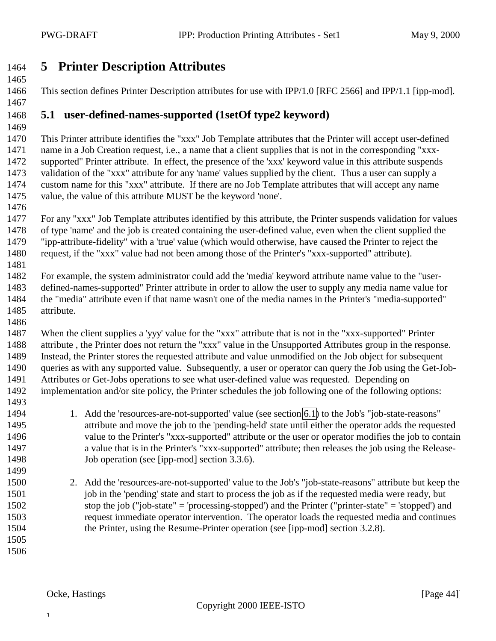## <span id="page-43-0"></span>**5 Printer Description Attributes**

This section defines Printer Description attributes for use with IPP/1.0 [RFC 2566] and IPP/1.1 [ipp-mod].

# 

#### **5.1 user-defined-names-supported (1setOf type2 keyword)**

 This Printer attribute identifies the "xxx" Job Template attributes that the Printer will accept user-defined name in a Job Creation request, i.e., a name that a client supplies that is not in the corresponding "xxx- supported" Printer attribute. In effect, the presence of the 'xxx' keyword value in this attribute suspends validation of the "xxx" attribute for any 'name' values supplied by the client. Thus a user can supply a custom name for this "xxx" attribute. If there are no Job Template attributes that will accept any name value, the value of this attribute MUST be the keyword 'none'.

 For any "xxx" Job Template attributes identified by this attribute, the Printer suspends validation for values of type 'name' and the job is created containing the user-defined value, even when the client supplied the "ipp-attribute-fidelity" with a 'true' value (which would otherwise, have caused the Printer to reject the request, if the "xxx" value had not been among those of the Printer's "xxx-supported" attribute). 

 For example, the system administrator could add the 'media' keyword attribute name value to the "user- defined-names-supported" Printer attribute in order to allow the user to supply any media name value for the "media" attribute even if that name wasn't one of the media names in the Printer's "media-supported" attribute.

 When the client supplies a 'yyy' value for the "xxx" attribute that is not in the "xxx-supported" Printer attribute , the Printer does not return the "xxx" value in the Unsupported Attributes group in the response. Instead, the Printer stores the requested attribute and value unmodified on the Job object for subsequent queries as with any supported value. Subsequently, a user or operator can query the Job using the Get-Job- Attributes or Get-Jobs operations to see what user-defined value was requested. Depending on implementation and/or site policy, the Printer schedules the job following one of the following options:

 1. Add the 'resources-are-not-supported' value (see section [6.1\)](#page-44-0) to the Job's "job-state-reasons" attribute and move the job to the 'pending-held' state until either the operator adds the requested value to the Printer's "xxx-supported" attribute or the user or operator modifies the job to contain a value that is in the Printer's "xxx-supported" attribute; then releases the job using the Release-1498 Job operation (see [ipp-mod] section 3.3.6).

- 
- 2. Add the 'resources-are-not-supported' value to the Job's "job-state-reasons" attribute but keep the 1501 job in the 'pending' state and start to process the job as if the requested media were ready, but stop the job ("job-state" = 'processing-stopped') and the Printer ("printer-state" = 'stopped') and request immediate operator intervention. The operator loads the requested media and continues the Printer, using the Resume-Printer operation (see [ipp-mod] section 3.2.8).
-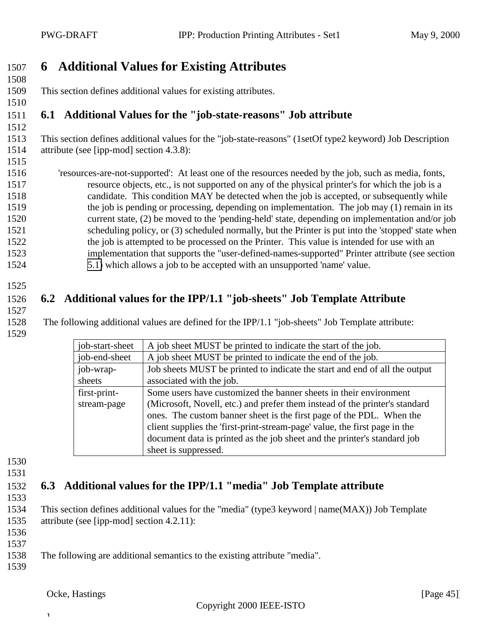## <span id="page-44-0"></span>**6 Additional Values for Existing Attributes**

 This section defines additional values for existing attributes. 

## **6.1 Additional Values for the "job-state-reasons" Job attribute**

 This section defines additional values for the "job-state-reasons" (1setOf type2 keyword) Job Description attribute (see [ipp-mod] section 4.3.8):

 'resources-are-not-supported': At least one of the resources needed by the job, such as media, fonts, resource objects, etc., is not supported on any of the physical printer's for which the job is a candidate. This condition MAY be detected when the job is accepted, or subsequently while the job is pending or processing, depending on implementation. The job may (1) remain in its current state, (2) be moved to the 'pending-held' state, depending on implementation and/or job scheduling policy, or (3) scheduled normally, but the Printer is put into the 'stopped' state when 1522 the job is attempted to be processed on the Printer. This value is intended for use with an implementation that supports the "user-defined-names-supported" Printer attribute (see section [5.1\)](#page-43-0) which allows a job to be accepted with an unsupported 'name' value.

## **6.2 Additional values for the IPP/1.1 "job-sheets" Job Template Attribute**

1528 The following additional values are defined for the IPP/1.1 "job-sheets" Job Template attribute: 

| job-start-sheet | A job sheet MUST be printed to indicate the start of the job.               |  |  |
|-----------------|-----------------------------------------------------------------------------|--|--|
| job-end-sheet   | A job sheet MUST be printed to indicate the end of the job.                 |  |  |
| job-wrap-       | Job sheets MUST be printed to indicate the start and end of all the output  |  |  |
| sheets          | associated with the job.                                                    |  |  |
| first-print-    | Some users have customized the banner sheets in their environment           |  |  |
| stream-page     | (Microsoft, Novell, etc.) and prefer them instead of the printer's standard |  |  |
|                 | ones. The custom banner sheet is the first page of the PDL. When the        |  |  |
|                 | client supplies the 'first-print-stream-page' value, the first page in the  |  |  |
|                 | document data is printed as the job sheet and the printer's standard job    |  |  |
|                 | sheet is suppressed.                                                        |  |  |

 

## **6.3 Additional values for the IPP/1.1 "media" Job Template attribute**

 This section defines additional values for the "media" (type3 keyword | name(MAX)) Job Template attribute (see [ipp-mod] section 4.2.11):

 The following are additional semantics to the existing attribute "media".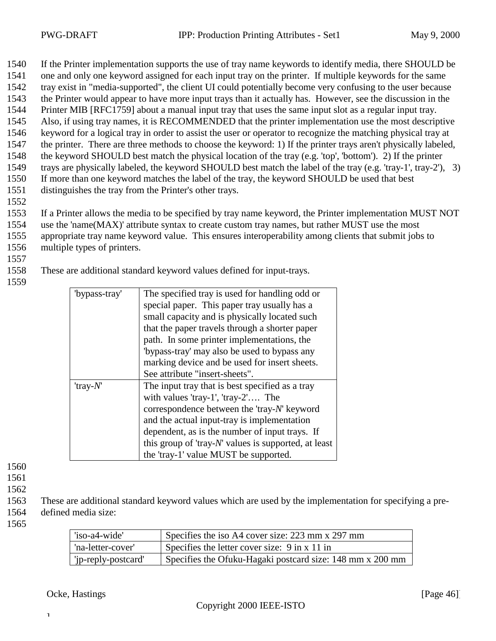1540 If the Printer implementation supports the use of tray name keywords to identify media, there SHOULD be

- 1541 one and only one keyword assigned for each input tray on the printer. If multiple keywords for the same
- 1542 tray exist in "media-supported", the client UI could potentially become very confusing to the user because
- 1543 the Printer would appear to have more input trays than it actually has. However, see the discussion in the 1544 Printer MIB [RFC1759] about a manual input tray that uses the same input slot as a regular input tray.
- 1545 Also, if using tray names, it is RECOMMENDED that the printer implementation use the most descriptive
- 1546 keyword for a logical tray in order to assist the user or operator to recognize the matching physical tray at
- 1547 the printer. There are three methods to choose the keyword: 1) If the printer trays aren't physically labeled,
- 1548 the keyword SHOULD best match the physical location of the tray (e.g. 'top', 'bottom'). 2) If the printer
- 1549 trays are physically labeled, the keyword SHOULD best match the label of the tray (e.g. 'tray-1', tray-2'), 3)
- 1550 If more than one keyword matches the label of the tray, the keyword SHOULD be used that best 1551 distinguishes the tray from the Printer's other trays.
- 1552
- 1553 If a Printer allows the media to be specified by tray name keyword, the Printer implementation MUST NOT
- 1554 use the 'name(MAX)' attribute syntax to create custom tray names, but rather MUST use the most
- 1555 appropriate tray name keyword value. This ensures interoperability among clients that submit jobs to 1556 multiple types of printers.
- 1557

1558 These are additional standard keyword values defined for input-trays.

1559

| "bypass-tray"  | The specified tray is used for handling odd or            |  |
|----------------|-----------------------------------------------------------|--|
|                | special paper. This paper tray usually has a              |  |
|                | small capacity and is physically located such             |  |
|                | that the paper travels through a shorter paper            |  |
|                | path. In some printer implementations, the                |  |
|                | 'bypass-tray' may also be used to bypass any              |  |
|                | marking device and be used for insert sheets.             |  |
|                | See attribute "insert-sheets".                            |  |
| $'$ tray- $N'$ | The input tray that is best specified as a tray           |  |
|                | with values 'tray-1', 'tray-2' The                        |  |
|                | correspondence between the 'tray-N' keyword               |  |
|                | and the actual input-tray is implementation               |  |
|                | dependent, as is the number of input trays. If            |  |
|                | this group of 'tray- $N'$ ' values is supported, at least |  |
|                | the 'tray-1' value MUST be supported.                     |  |

1560

1561

1562

1563 These are additional standard keyword values which are used by the implementation for specifying a pre-1564 defined media size:

1565

| 'iso-a4-wide'       | Specifies the iso A4 cover size: $223 \text{ mm} \times 297 \text{ mm}$ |
|---------------------|-------------------------------------------------------------------------|
| 'na-letter-cover'   | Specifies the letter cover size: $9 \text{ in } x\ 11 \text{ in}$       |
| 'ip-reply-postcard' | Specifies the Ofuku-Hagaki postcard size: 148 mm x 200 mm               |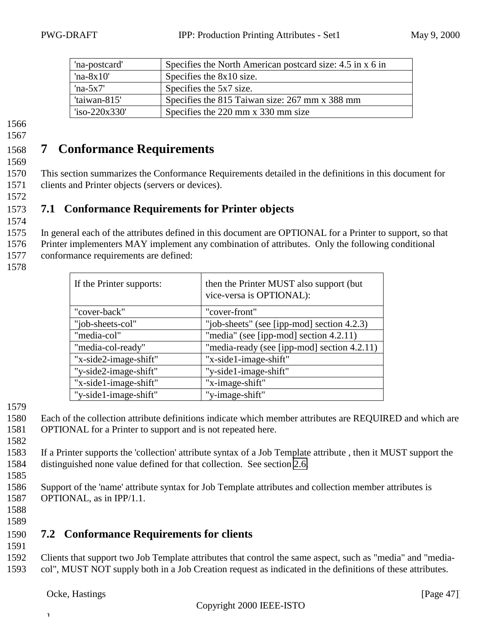<span id="page-46-0"></span>

| 'na-postcard' | Specifies the North American postcard size: 4.5 in x 6 in |
|---------------|-----------------------------------------------------------|
| 'na- $8x10'$  | Specifies the 8x10 size.                                  |
| 'na- $5x7'$   | Specifies the 5x7 size.                                   |
| 'taiwan-815'  | Specifies the 815 Taiwan size: 267 mm x 388 mm            |
| i>220x330'    | Specifies the 220 mm x 330 mm size                        |

#### 1567

## 1568 **7 Conformance Requirements**

1569

1572

1574

1570 This section summarizes the Conformance Requirements detailed in the definitions in this document for 1571 clients and Printer objects (servers or devices).

### 1573 **7.1 Conformance Requirements for Printer objects**

1575 In general each of the attributes defined in this document are OPTIONAL for a Printer to support, so that

1576 Printer implementers MAY implement any combination of attributes. Only the following conditional 1577 conformance requirements are defined:

1578

| If the Printer supports: | then the Printer MUST also support (but<br>vice-versa is OPTIONAL): |
|--------------------------|---------------------------------------------------------------------|
| "cover-back"             | "cover-front"                                                       |
| "job-sheets-col"         | "job-sheets" (see [ipp-mod] section 4.2.3)                          |
| "media-col"              | "media" (see [ipp-mod] section 4.2.11)                              |
| "media-col-ready"        | "media-ready (see [ipp-mod] section 4.2.11)                         |
| "x-side2-image-shift"    | "x-side1-image-shift"                                               |
| "y-side2-image-shift"    | "y-side1-image-shift"                                               |
| "x-side1-image-shift"    | "x-image-shift"                                                     |
| "y-side1-image-shift"    | "y-image-shift"                                                     |

1579

1580 Each of the collection attribute definitions indicate which member attributes are REQUIRED and which are 1581 OPTIONAL for a Printer to support and is not repeated here.

1582

1583 If a Printer supports the 'collection' attribute syntax of a Job Template attribute , then it MUST support the 1584 distinguished none value defined for that collection. See section [2.6.](#page-9-0)

1586 Support of the 'name' attribute syntax for Job Template attributes and collection member attributes is 1587 OPTIONAL, as in IPP/1.1.

1588 1589

1585

## 1590 **7.2 Conformance Requirements for clients**

1591

1592 Clients that support two Job Template attributes that control the same aspect, such as "media" and "media-1593 col", MUST NOT supply both in a Job Creation request as indicated in the definitions of these attributes.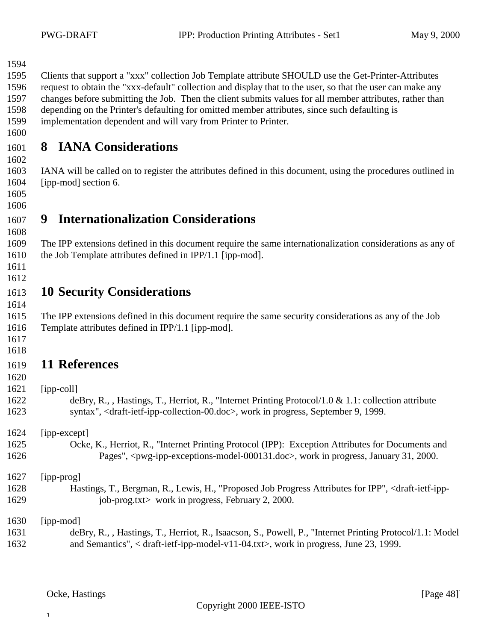<span id="page-47-0"></span>Clients that support a "xxx" collection Job Template attribute SHOULD use the Get-Printer-Attributes

 request to obtain the "xxx-default" collection and display that to the user, so that the user can make any changes before submitting the Job. Then the client submits values for all member attributes, rather than

depending on the Printer's defaulting for omitted member attributes, since such defaulting is

implementation dependent and will vary from Printer to Printer.

## **8 IANA Considerations**

 IANA will be called on to register the attributes defined in this document, using the procedures outlined in [ipp-mod] section 6.

 

## **9 Internationalization Considerations**

 The IPP extensions defined in this document require the same internationalization considerations as any of the Job Template attributes defined in IPP/1.1 [ipp-mod].

 

#### **10 Security Considerations**

 The IPP extensions defined in this document require the same security considerations as any of the Job Template attributes defined in IPP/1.1 [ipp-mod].

 

## **11 References**

 deBry, R., , Hastings, T., Herriot, R., "Internet Printing Protocol/1.0 & 1.1: collection attribute syntax", <draft-ietf-ipp-collection-00.doc>, work in progress, September 9, 1999.

[ipp-except]

 Ocke, K., Herriot, R., "Internet Printing Protocol (IPP): Exception Attributes for Documents and Pages", <pwg-ipp-exceptions-model-000131.doc>, work in progress, January 31, 2000.

[ipp-prog]

- Hastings, T., Bergman, R., Lewis, H., "Proposed Job Progress Attributes for IPP", <draft-ietf-ipp-1629 job-prog.txt> work in progress, February 2, 2000.
- [ipp-mod]

 $\mathbf{I}$ 

 deBry, R., , Hastings, T., Herriot, R., Isaacson, S., Powell, P., "Internet Printing Protocol/1.1: Model and Semantics", < draft-ietf-ipp-model-v11-04.txt>, work in progress, June 23, 1999.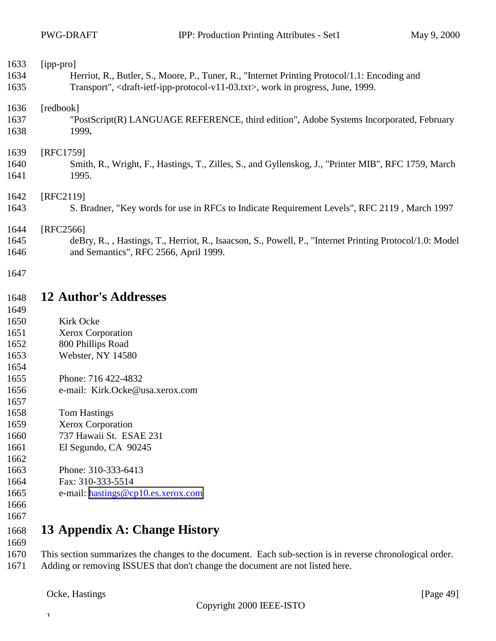<span id="page-48-0"></span>

| 1633         | [ipp-pro]                                                                                                            |
|--------------|----------------------------------------------------------------------------------------------------------------------|
| 1634         | Herriot, R., Butler, S., Moore, P., Tuner, R., "Internet Printing Protocol/1.1: Encoding and                         |
| 1635         | Transport", <draft-ietf-ipp-protocol-v11-03.txt>, work in progress, June, 1999.</draft-ietf-ipp-protocol-v11-03.txt> |
| 1636         | [redbook]                                                                                                            |
| 1637         | "PostScript(R) LANGUAGE REFERENCE, third edition", Adobe Systems Incorporated, February                              |
| 1638         | 1999.                                                                                                                |
| 1639         | [RFC1759]                                                                                                            |
| 1640         | Smith, R., Wright, F., Hastings, T., Zilles, S., and Gyllenskog, J., "Printer MIB", RFC 1759, March                  |
| 1641         | 1995.                                                                                                                |
| 1642         | [RFC2119]                                                                                                            |
| 1643         | S. Bradner, "Key words for use in RFCs to Indicate Requirement Levels", RFC 2119, March 1997                         |
| 1644         | [RFC2566]                                                                                                            |
| 1645         | deBry, R., , Hastings, T., Herriot, R., Isaacson, S., Powell, P., "Internet Printing Protocol/1.0: Model             |
| 1646         | and Semantics", RFC 2566, April 1999.                                                                                |
| 1647         |                                                                                                                      |
| 1648         | <b>12 Author's Addresses</b>                                                                                         |
| 1649         |                                                                                                                      |
| 1650         | Kirk Ocke                                                                                                            |
| 1651         | Xerox Corporation                                                                                                    |
| 1652         | 800 Phillips Road                                                                                                    |
| 1653         | Webster, NY 14580                                                                                                    |
| 1654         |                                                                                                                      |
| 1655         | Phone: 716 422-4832                                                                                                  |
| 1656         | e-mail: Kirk.Ocke@usa.xerox.com                                                                                      |
| 1657         |                                                                                                                      |
| 1658         | <b>Tom Hastings</b>                                                                                                  |
| 1659         | <b>Xerox Corporation</b>                                                                                             |
| 1660         | 737 Hawaii St. ESAE 231                                                                                              |
| 1661         | El Segundo, CA 90245                                                                                                 |
| 1662         |                                                                                                                      |
| 1663         | Phone: 310-333-6413                                                                                                  |
| 1664         | Fax: 310-333-5514                                                                                                    |
| 1665         | e-mail: hastings@cp10.es.xerox.com                                                                                   |
| 1666<br>1667 |                                                                                                                      |
| 1668         | 13 Appendix A: Change History                                                                                        |
| 1669         |                                                                                                                      |
| 1670         | This section summarizes the changes to the document. Each sub-section is in reverse chronological order.             |

Adding or removing ISSUES that don't change the document are not listed here.

 $\mathbf 1$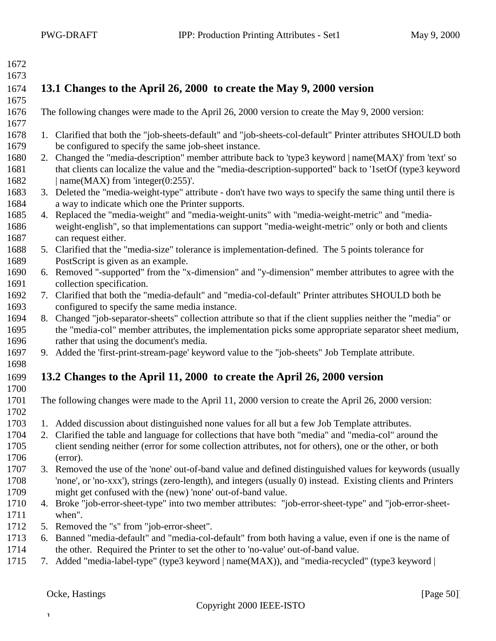<span id="page-49-0"></span>

| 1672 |                                                                      |                                                                                                              |  |  |
|------|----------------------------------------------------------------------|--------------------------------------------------------------------------------------------------------------|--|--|
| 1673 |                                                                      |                                                                                                              |  |  |
| 1674 | 13.1 Changes to the April 26, 2000 to create the May 9, 2000 version |                                                                                                              |  |  |
| 1675 |                                                                      |                                                                                                              |  |  |
| 1676 |                                                                      | The following changes were made to the April 26, 2000 version to create the May 9, 2000 version:             |  |  |
| 1677 |                                                                      |                                                                                                              |  |  |
| 1678 |                                                                      | 1. Clarified that both the "job-sheets-default" and "job-sheets-col-default" Printer attributes SHOULD both  |  |  |
| 1679 |                                                                      | be configured to specify the same job-sheet instance.                                                        |  |  |
| 1680 |                                                                      | 2. Changed the "media-description" member attribute back to 'type3 keyword   name(MAX)' from 'text' so       |  |  |
| 1681 |                                                                      | that clients can localize the value and the "media-description-supported" back to '1setOf (type3 keyword     |  |  |
| 1682 |                                                                      | name( $MAX$ ) from 'integer( $0:255$ )'.                                                                     |  |  |
| 1683 |                                                                      | 3. Deleted the "media-weight-type" attribute - don't have two ways to specify the same thing until there is  |  |  |
| 1684 |                                                                      | a way to indicate which one the Printer supports.                                                            |  |  |
| 1685 |                                                                      | 4. Replaced the "media-weight" and "media-weight-units" with "media-weight-metric" and "media-               |  |  |
| 1686 |                                                                      | weight-english", so that implementations can support "media-weight-metric" only or both and clients          |  |  |
| 1687 |                                                                      | can request either.                                                                                          |  |  |
| 1688 |                                                                      | 5. Clarified that the "media-size" tolerance is implementation-defined. The 5 points tolerance for           |  |  |
| 1689 |                                                                      | PostScript is given as an example.                                                                           |  |  |
| 1690 |                                                                      | 6. Removed "-supported" from the "x-dimension" and "y-dimension" member attributes to agree with the         |  |  |
| 1691 |                                                                      | collection specification.                                                                                    |  |  |
| 1692 |                                                                      | 7. Clarified that both the "media-default" and "media-col-default" Printer attributes SHOULD both be         |  |  |
| 1693 |                                                                      | configured to specify the same media instance.                                                               |  |  |
| 1694 |                                                                      | 8. Changed "job-separator-sheets" collection attribute so that if the client supplies neither the "media" or |  |  |
| 1695 |                                                                      | the "media-col" member attributes, the implementation picks some appropriate separator sheet medium,         |  |  |
| 1696 |                                                                      | rather that using the document's media.                                                                      |  |  |
| 1697 |                                                                      | 9. Added the 'first-print-stream-page' keyword value to the "job-sheets" Job Template attribute.             |  |  |
| 1698 |                                                                      |                                                                                                              |  |  |
| 1699 |                                                                      | 13.2 Changes to the April 11, 2000 to create the April 26, 2000 version                                      |  |  |
| 1700 |                                                                      |                                                                                                              |  |  |
| 1701 |                                                                      | The following changes were made to the April 11, 2000 version to create the April 26, 2000 version:          |  |  |
| 1702 |                                                                      |                                                                                                              |  |  |
| 1703 |                                                                      | 1. Added discussion about distinguished none values for all but a few Job Template attributes.               |  |  |
| 1704 |                                                                      | 2. Clarified the table and language for collections that have both "media" and "media-col" around the        |  |  |
| 1705 |                                                                      | client sending neither (error for some collection attributes, not for others), one or the other, or both     |  |  |
| 1706 |                                                                      | (error).                                                                                                     |  |  |
| 1707 |                                                                      | 3. Removed the use of the 'none' out-of-band value and defined distinguished values for keywords (usually    |  |  |
| 1708 |                                                                      | 'none', or 'no-xxx'), strings (zero-length), and integers (usually 0) instead. Existing clients and Printers |  |  |
| 1709 |                                                                      | might get confused with the (new) 'none' out-of-band value.                                                  |  |  |
| 1710 |                                                                      | 4. Broke "job-error-sheet-type" into two member attributes: "job-error-sheet-type" and "job-error-sheet-     |  |  |
| 1711 |                                                                      | when".                                                                                                       |  |  |
| 1712 |                                                                      | 5. Removed the "s" from "job-error-sheet".                                                                   |  |  |
| 1713 |                                                                      | 6. Banned "media-default" and "media-col-default" from both having a value, even if one is the name of       |  |  |
| 1714 |                                                                      | the other. Required the Printer to set the other to 'no-value' out-of-band value.                            |  |  |
| 1715 |                                                                      | 7. Added "media-label-type" (type3 keyword   name(MAX)), and "media-recycled" (type3 keyword                 |  |  |
|      |                                                                      |                                                                                                              |  |  |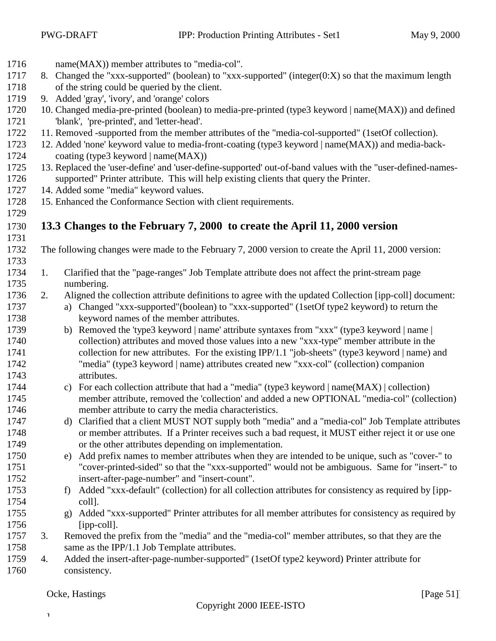- <span id="page-50-0"></span>name(MAX)) member attributes to "media-col".
- 1717 8. Changed the "xxx-supported" (boolean) to "xxx-supported" (integer( $0: X$ ) so that the maximum length of the string could be queried by the client.
- 9. Added 'gray', 'ivory', and 'orange' colors
- 10. Changed media-pre-printed (boolean) to media-pre-printed (type3 keyword | name(MAX)) and defined 'blank', 'pre-printed', and 'letter-head'.
- 11. Removed -supported from the member attributes of the "media-col-supported" (1setOf collection).
- 12. Added 'none' keyword value to media-front-coating (type3 keyword | name(MAX)) and media-back-coating (type3 keyword | name(MAX))
- 13. Replaced the 'user-define' and 'user-define-supported' out-of-band values with the "user-defined-names-supported" Printer attribute. This will help existing clients that query the Printer.
- 14. Added some "media" keyword values.
- 15. Enhanced the Conformance Section with client requirements.
- **13.3 Changes to the February 7, 2000 to create the April 11, 2000 version**
- 
- The following changes were made to the February 7, 2000 version to create the April 11, 2000 version:
- 1. Clarified that the "page-ranges" Job Template attribute does not affect the print-stream page numbering.
- 2. Aligned the collection attribute definitions to agree with the updated Collection [ipp-coll] document:
- a) Changed "xxx-supported"(boolean) to "xxx-supported" (1setOf type2 keyword) to return the keyword names of the member attributes.
- b) Removed the 'type3 keyword | name' attribute syntaxes from "xxx" (type3 keyword | name | collection) attributes and moved those values into a new "xxx-type" member attribute in the collection for new attributes. For the existing IPP/1.1 "job-sheets" (type3 keyword | name) and "media" (type3 keyword | name) attributes created new "xxx-col" (collection) companion attributes.
- c) For each collection attribute that had a "media" (type3 keyword | name(MAX) | collection) member attribute, removed the 'collection' and added a new OPTIONAL "media-col" (collection) member attribute to carry the media characteristics.
- d) Clarified that a client MUST NOT supply both "media" and a "media-col" Job Template attributes or member attributes. If a Printer receives such a bad request, it MUST either reject it or use one or the other attributes depending on implementation.
- e) Add prefix names to member attributes when they are intended to be unique, such as "cover-" to "cover-printed-sided" so that the "xxx-supported" would not be ambiguous. Same for "insert-" to insert-after-page-number" and "insert-count".
- f) Added "xxx-default" (collection) for all collection attributes for consistency as required by [ipp-coll].
- g) Added "xxx-supported" Printer attributes for all member attributes for consistency as required by [ipp-coll].
- 3. Removed the prefix from the "media" and the "media-col" member attributes, so that they are the 1758 same as the IPP/1.1 Job Template attributes.
- 4. Added the insert-after-page-number-supported" (1setOf type2 keyword) Printer attribute for consistency.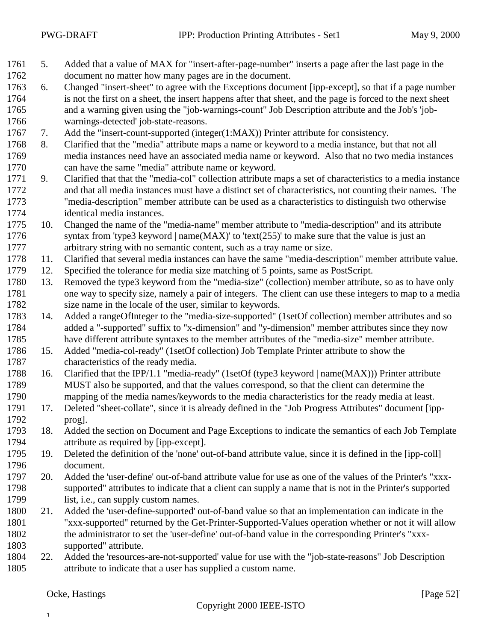- 5. Added that a value of MAX for "insert-after-page-number" inserts a page after the last page in the document no matter how many pages are in the document.
- 6. Changed "insert-sheet" to agree with the Exceptions document [ipp-except], so that if a page number is not the first on a sheet, the insert happens after that sheet, and the page is forced to the next sheet and a warning given using the "job-warnings-count" Job Description attribute and the Job's 'job-warnings-detected' job-state-reasons.
- 7. Add the "insert-count-supported (integer(1:MAX)) Printer attribute for consistency.
- 8. Clarified that the "media" attribute maps a name or keyword to a media instance, but that not all media instances need have an associated media name or keyword. Also that no two media instances can have the same "media" attribute name or keyword.
- 9. Clarified that that the "media-col" collection attribute maps a set of characteristics to a media instance and that all media instances must have a distinct set of characteristics, not counting their names. The "media-description" member attribute can be used as a characteristics to distinguish two otherwise identical media instances.
- 10. Changed the name of the "media-name" member attribute to "media-description" and its attribute 1776 syntax from 'type3 keyword | name(MAX)' to 'text(255)' to make sure that the value is just an arbitrary string with no semantic content, such as a tray name or size.
- 11. Clarified that several media instances can have the same "media-description" member attribute value.
- 12. Specified the tolerance for media size matching of 5 points, same as PostScript.
- 13. Removed the type3 keyword from the "media-size" (collection) member attribute, so as to have only one way to specify size, namely a pair of integers. The client can use these integers to map to a media size name in the locale of the user, similar to keywords.
- 14. Added a rangeOfInteger to the "media-size-supported" (1setOf collection) member attributes and so added a "-supported" suffix to "x-dimension" and "y-dimension" member attributes since they now have different attribute syntaxes to the member attributes of the "media-size" member attribute.
- 15. Added "media-col-ready" (1setOf collection) Job Template Printer attribute to show the characteristics of the ready media.
- 16. Clarified that the IPP/1.1 "media-ready" (1setOf (type3 keyword | name(MAX))) Printer attribute MUST also be supported, and that the values correspond, so that the client can determine the mapping of the media names/keywords to the media characteristics for the ready media at least.
- 17. Deleted "sheet-collate", since it is already defined in the "Job Progress Attributes" document [ipp-prog].
- 18. Added the section on Document and Page Exceptions to indicate the semantics of each Job Template attribute as required by [ipp-except].
- 19. Deleted the definition of the 'none' out-of-band attribute value, since it is defined in the [ipp-coll] document.
- 20. Added the 'user-define' out-of-band attribute value for use as one of the values of the Printer's "xxx- supported" attributes to indicate that a client can supply a name that is not in the Printer's supported list, i.e., can supply custom names.
- 21. Added the 'user-define-supported' out-of-band value so that an implementation can indicate in the "xxx-supported" returned by the Get-Printer-Supported-Values operation whether or not it will allow the administrator to set the 'user-define' out-of-band value in the corresponding Printer's "xxx-supported" attribute.
- 22. Added the 'resources-are-not-supported' value for use with the "job-state-reasons" Job Description attribute to indicate that a user has supplied a custom name.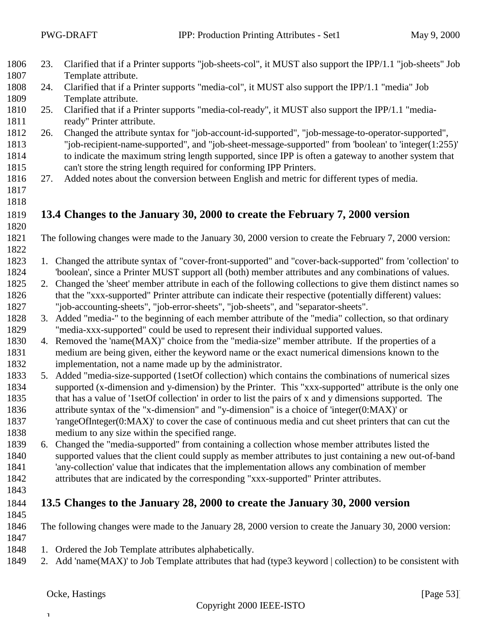$\mathbf T$ 

<span id="page-52-0"></span>

| 1806 | 23. | Clarified that if a Printer supports "job-sheets-col", it MUST also support the IPP/1.1 "job-sheets" Job    |
|------|-----|-------------------------------------------------------------------------------------------------------------|
| 1807 |     | Template attribute.                                                                                         |
| 1808 | 24. | Clarified that if a Printer supports "media-col", it MUST also support the IPP/1.1 "media" Job              |
| 1809 |     | Template attribute.                                                                                         |
| 1810 | 25. | Clarified that if a Printer supports "media-col-ready", it MUST also support the IPP/1.1 "media-            |
| 1811 |     | ready" Printer attribute.                                                                                   |
| 1812 | 26. | Changed the attribute syntax for "job-account-id-supported", "job-message-to-operator-supported",           |
| 1813 |     | "job-recipient-name-supported", and "job-sheet-message-supported" from 'boolean' to 'integer(1:255)'        |
| 1814 |     | to indicate the maximum string length supported, since IPP is often a gateway to another system that        |
| 1815 |     | can't store the string length required for conforming IPP Printers.                                         |
| 1816 | 27. | Added notes about the conversion between English and metric for different types of media.                   |
| 1817 |     |                                                                                                             |
| 1818 |     |                                                                                                             |
| 1819 |     | 13.4 Changes to the January 30, 2000 to create the February 7, 2000 version                                 |
| 1820 |     |                                                                                                             |
| 1821 |     | The following changes were made to the January 30, 2000 version to create the February 7, 2000 version:     |
| 1822 |     |                                                                                                             |
| 1823 | 1.  | Changed the attribute syntax of "cover-front-supported" and "cover-back-supported" from 'collection' to     |
| 1824 |     | 'boolean', since a Printer MUST support all (both) member attributes and any combinations of values.        |
| 1825 |     | 2. Changed the 'sheet' member attribute in each of the following collections to give them distinct names so |
| 1826 |     | that the "xxx-supported" Printer attribute can indicate their respective (potentially different) values:    |
| 1827 |     | "job-accounting-sheets", "job-error-sheets", "job-sheets", and "separator-sheets".                          |
| 1828 |     | 3. Added "media-" to the beginning of each member attribute of the "media" collection, so that ordinary     |
| 1829 |     | "media-xxx-supported" could be used to represent their individual supported values.                         |
| 1830 |     | 4. Removed the 'name(MAX)" choice from the "media-size" member attribute. If the properties of a            |
| 1831 |     | medium are being given, either the keyword name or the exact numerical dimensions known to the              |
| 1832 |     | implementation, not a name made up by the administrator.                                                    |
| 1833 |     | 5. Added "media-size-supported (1setOf collection) which contains the combinations of numerical sizes       |
| 1834 |     | supported (x-dimension and y-dimension) by the Printer. This "xxx-supported" attribute is the only one      |
| 1835 |     | that has a value of '1setOf collection' in order to list the pairs of x and y dimensions supported. The     |
| 1836 |     | attribute syntax of the "x-dimension" and "y-dimension" is a choice of 'integer(0:MAX)' or                  |
| 1837 |     | 'rangeOfInteger(0:MAX)' to cover the case of continuous media and cut sheet printers that can cut the       |
| 1838 |     | medium to any size within the specified range.                                                              |
| 1839 |     | 6. Changed the "media-supported" from containing a collection whose member attributes listed the            |
| 1840 |     | supported values that the client could supply as member attributes to just containing a new out-of-band     |
| 1841 |     | 'any-collection' value that indicates that the implementation allows any combination of member              |
| 1842 |     | attributes that are indicated by the corresponding "xxx-supported" Printer attributes.                      |
| 1843 |     |                                                                                                             |
| 1844 |     | 13.5 Changes to the January 28, 2000 to create the January 30, 2000 version                                 |
| 1845 |     |                                                                                                             |
| 1846 |     | The following changes were made to the January 28, 2000 version to create the January 30, 2000 version:     |
| 1847 |     |                                                                                                             |
| 1848 |     | 1. Ordered the Job Template attributes alphabetically.                                                      |
| 1849 |     | 2. Add 'name(MAX)' to Job Template attributes that had (type3 keyword   collection) to be consistent with   |
|      |     |                                                                                                             |
|      |     |                                                                                                             |
|      |     | Ocke, Hastings<br>[Page $53$ ]]                                                                             |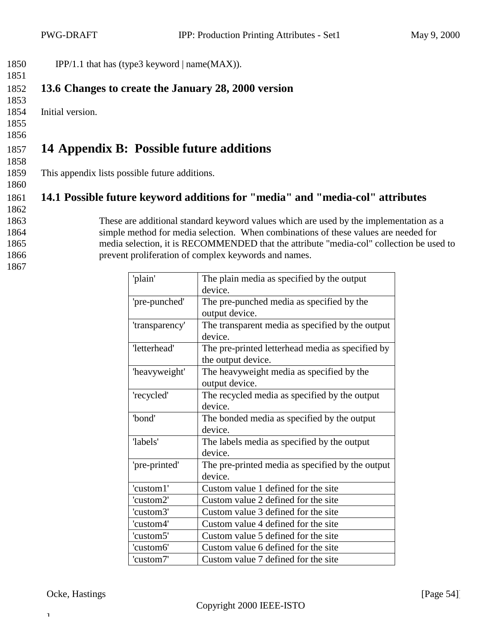<span id="page-53-0"></span>

| 1850 | IPP/1.1 that has (type3 keyword $ name(MAX) $ ). |
|------|--------------------------------------------------|
| 1851 |                                                  |

#### 1852 **13.6 Changes to create the January 28, 2000 version** 1853

- 1854 Initial version.
- 1855
- 1856

### 1857 **14 Appendix B: Possible future additions** 1858

1859 This appendix lists possible future additions.

## 1861 **14.1 Possible future keyword additions for "media" and "media-col" attributes**

- 1862
- 

1860

- 
- 
- 
- 1867

 These are additional standard keyword values which are used by the implementation as a simple method for media selection. When combinations of these values are needed for media selection, it is RECOMMENDED that the attribute "media-col" collection be used to prevent proliferation of complex keywords and names.

| 'plain'        | The plain media as specified by the output       |
|----------------|--------------------------------------------------|
|                | device.                                          |
| 'pre-punched'  | The pre-punched media as specified by the        |
|                | output device.                                   |
| 'transparency' | The transparent media as specified by the output |
|                | device.                                          |
| 'letterhead'   | The pre-printed letterhead media as specified by |
|                | the output device.                               |
| 'heavyweight'  | The heavyweight media as specified by the        |
|                | output device.                                   |
| 'recycled'     | The recycled media as specified by the output    |
|                | device.                                          |
| 'bond'         | The bonded media as specified by the output      |
|                | device.                                          |
| 'labels'       | The labels media as specified by the output      |
|                | device.                                          |
| 'pre-printed'  | The pre-printed media as specified by the output |
|                | device.                                          |
| 'custom1'      | Custom value 1 defined for the site              |
| 'custom2'      | Custom value 2 defined for the site              |
| 'custom3'      | Custom value 3 defined for the site              |
| 'custom4'      | Custom value 4 defined for the site              |
| 'custom5'      | Custom value 5 defined for the site              |
| 'custom6'      | Custom value 6 defined for the site              |
| 'custom7'      | Custom value 7 defined for the site              |

Ocke, Hastings [Page 54]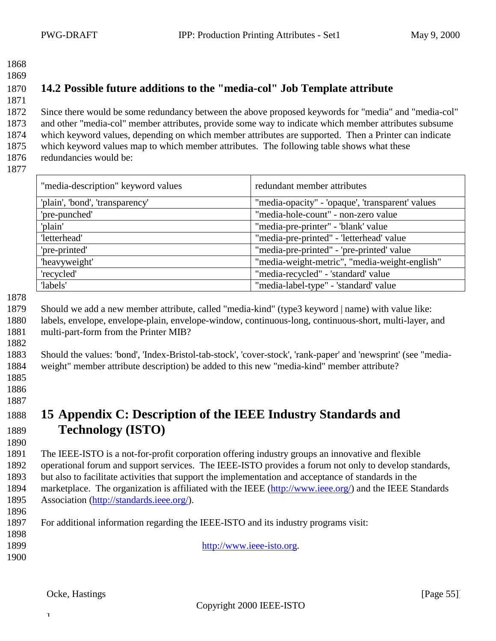- <span id="page-54-0"></span>
- 

#### **14.2 Possible future additions to the "media-col" Job Template attribute**

 Since there would be some redundancy between the above proposed keywords for "media" and "media-col" and other "media-col" member attributes, provide some way to indicate which member attributes subsume which keyword values, depending on which member attributes are supported. Then a Printer can indicate which keyword values map to which member attributes. The following table shows what these redundancies would be:

| "media-description" keyword values | redundant member attributes                      |
|------------------------------------|--------------------------------------------------|
| 'plain', 'bond', 'transparency'    | "media-opacity" - 'opaque', 'transparent' values |
| 'pre-punched'                      | "media-hole-count" - non-zero value              |
| 'plain'                            | "media-pre-printer" - "blank' value              |
| 'letterhead'                       | "media-pre-printed" - 'letterhead' value         |
| 'pre-printed'                      | "media-pre-printed" - 'pre-printed' value        |
| 'heavyweight'                      | "media-weight-metric", "media-weight-english"    |
| 'recycled'                         | "media-recycled" - 'standard' value              |
| 'labels'                           | "media-label-type" - 'standard' value            |

 Should we add a new member attribute, called "media-kind" (type3 keyword | name) with value like: labels, envelope, envelope-plain, envelope-window, continuous-long, continuous-short, multi-layer, and

multi-part-form from the Printer MIB?

#### Should the values: 'bond', 'Index-Bristol-tab-stock', 'cover-stock', 'rank-paper' and 'newsprint' (see "media-weight" member attribute description) be added to this new "media-kind" member attribute?

 

## **15 Appendix C: Description of the IEEE Industry Standards and Technology (ISTO)**

 The IEEE-ISTO is a not-for-profit corporation offering industry groups an innovative and flexible operational forum and support services. The IEEE-ISTO provides a forum not only to develop standards, but also to facilitate activities that support the implementation and acceptance of standards in the marketplace. The organization is affiliated with the IEEE (http://www.ieee.org/) and the IEEE Standards Association (http://standards.ieee.org/).

 For additional information regarding the IEEE-ISTO and its industry programs visit: 

- http://www.ieee-isto.org.
-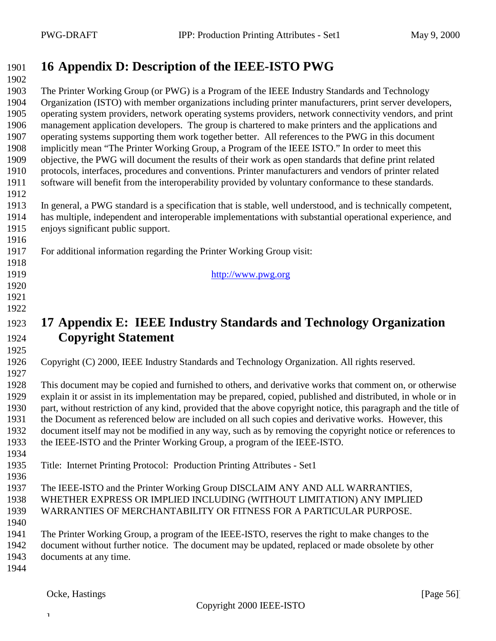## <span id="page-55-0"></span>**16 Appendix D: Description of the IEEE-ISTO PWG**

 The Printer Working Group (or PWG) is a Program of the IEEE Industry Standards and Technology Organization (ISTO) with member organizations including printer manufacturers, print server developers, operating system providers, network operating systems providers, network connectivity vendors, and print management application developers. The group is chartered to make printers and the applications and operating systems supporting them work together better. All references to the PWG in this document implicitly mean "The Printer Working Group, a Program of the IEEE ISTO." In order to meet this objective, the PWG will document the results of their work as open standards that define print related protocols, interfaces, procedures and conventions. Printer manufacturers and vendors of printer related software will benefit from the interoperability provided by voluntary conformance to these standards. 

- In general, a PWG standard is a specification that is stable, well understood, and is technically competent, has multiple, independent and interoperable implementations with substantial operational experience, and enjoys significant public support.
- For additional information regarding the Printer Working Group visit:
- http://www.pwg.org
- **17 Appendix E: IEEE Industry Standards and Technology Organization Copyright Statement**
- 

 

Copyright (C) 2000, IEEE Industry Standards and Technology Organization. All rights reserved.

 This document may be copied and furnished to others, and derivative works that comment on, or otherwise explain it or assist in its implementation may be prepared, copied, published and distributed, in whole or in part, without restriction of any kind, provided that the above copyright notice, this paragraph and the title of the Document as referenced below are included on all such copies and derivative works. However, this document itself may not be modified in any way, such as by removing the copyright notice or references to the IEEE-ISTO and the Printer Working Group, a program of the IEEE-ISTO.

- Title: Internet Printing Protocol: Production Printing Attributes Set1
- The IEEE-ISTO and the Printer Working Group DISCLAIM ANY AND ALL WARRANTIES, WHETHER EXPRESS OR IMPLIED INCLUDING (WITHOUT LIMITATION) ANY IMPLIED WARRANTIES OF MERCHANTABILITY OR FITNESS FOR A PARTICULAR PURPOSE.
- 

- The Printer Working Group, a program of the IEEE-ISTO, reserves the right to make changes to the document without further notice. The document may be updated, replaced or made obsolete by other
- 
- documents at any time.

 $\mathbf{I}$